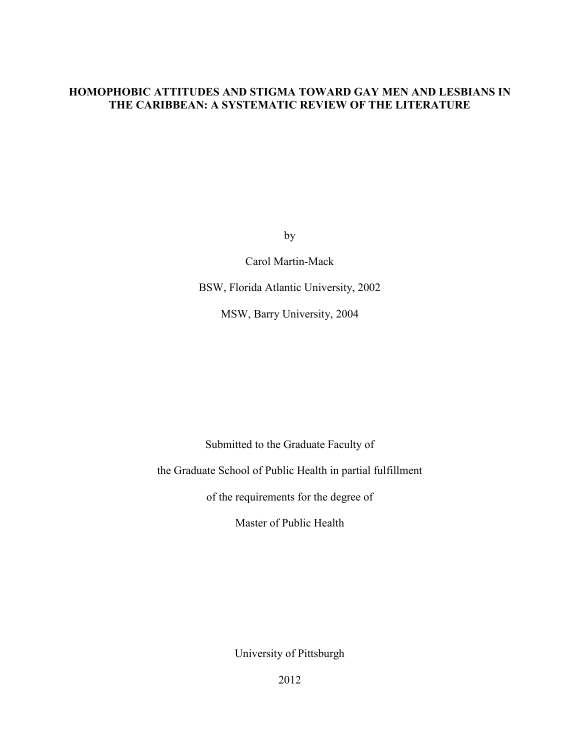# **HOMOPHOBIC ATTITUDES AND STIGMA TOWARD GAY MEN AND LESBIANS IN THE CARIBBEAN: A SYSTEMATIC REVIEW OF THE LITERATURE**

by

Carol Martin-Mack

BSW, Florida Atlantic University, 2002

MSW, Barry University, 2004

Submitted to the Graduate Faculty of

the Graduate School of Public Health in partial fulfillment

of the requirements for the degree of

Master of Public Health

University of Pittsburgh

2012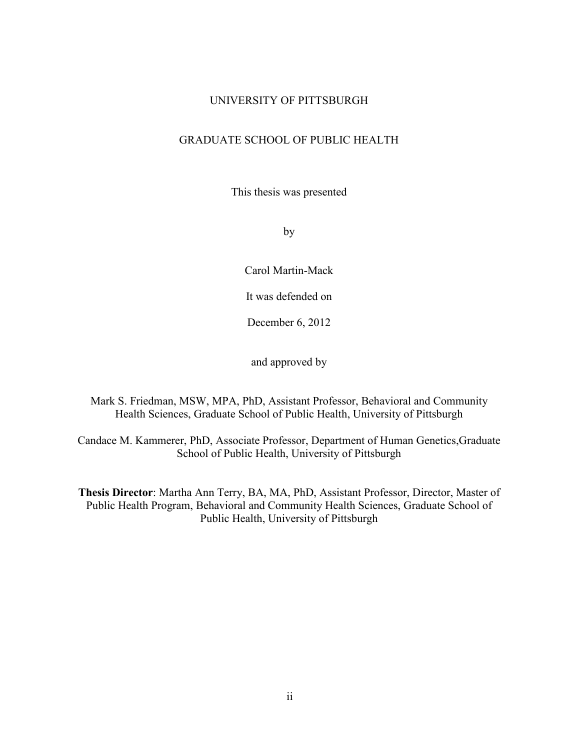# UNIVERSITY OF PITTSBURGH

# GRADUATE SCHOOL OF PUBLIC HEALTH

This thesis was presented

by

Carol Martin-Mack

It was defended on

December 6, 2012

and approved by

Mark S. Friedman, MSW, MPA, PhD, Assistant Professor, Behavioral and Community Health Sciences, Graduate School of Public Health, University of Pittsburgh

Candace M. Kammerer, PhD, Associate Professor, Department of Human Genetics,Graduate School of Public Health, University of Pittsburgh

**Thesis Director**: Martha Ann Terry, BA, MA, PhD, Assistant Professor, Director, Master of Public Health Program, Behavioral and Community Health Sciences, Graduate School of Public Health, University of Pittsburgh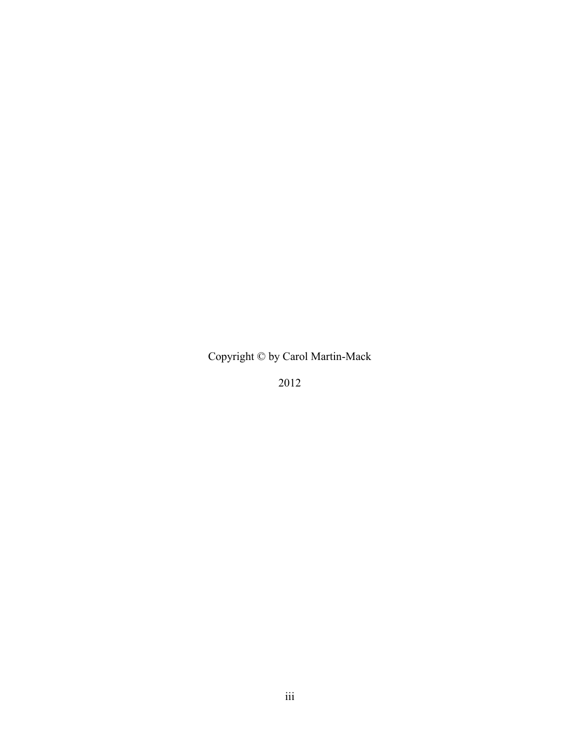Copyright © by Carol Martin-Mack

2012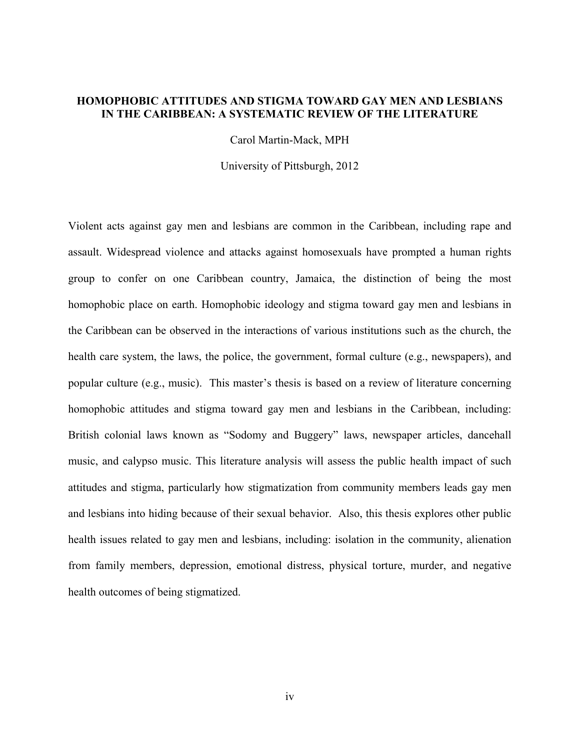# **HOMOPHOBIC ATTITUDES AND STIGMA TOWARD GAY MEN AND LESBIANS IN THE CARIBBEAN: A SYSTEMATIC REVIEW OF THE LITERATURE**

Carol Martin-Mack, MPH

University of Pittsburgh, 2012

Violent acts against gay men and lesbians are common in the Caribbean, including rape and assault. Widespread violence and attacks against homosexuals have prompted a human rights group to confer on one Caribbean country, Jamaica, the distinction of being the most homophobic place on earth. Homophobic ideology and stigma toward gay men and lesbians in the Caribbean can be observed in the interactions of various institutions such as the church, the health care system, the laws, the police, the government, formal culture (e.g., newspapers), and popular culture (e.g., music). This master's thesis is based on a review of literature concerning homophobic attitudes and stigma toward gay men and lesbians in the Caribbean, including: British colonial laws known as "Sodomy and Buggery" laws, newspaper articles, dancehall music, and calypso music. This literature analysis will assess the public health impact of such attitudes and stigma, particularly how stigmatization from community members leads gay men and lesbians into hiding because of their sexual behavior. Also, this thesis explores other public health issues related to gay men and lesbians, including: isolation in the community, alienation from family members, depression, emotional distress, physical torture, murder, and negative health outcomes of being stigmatized.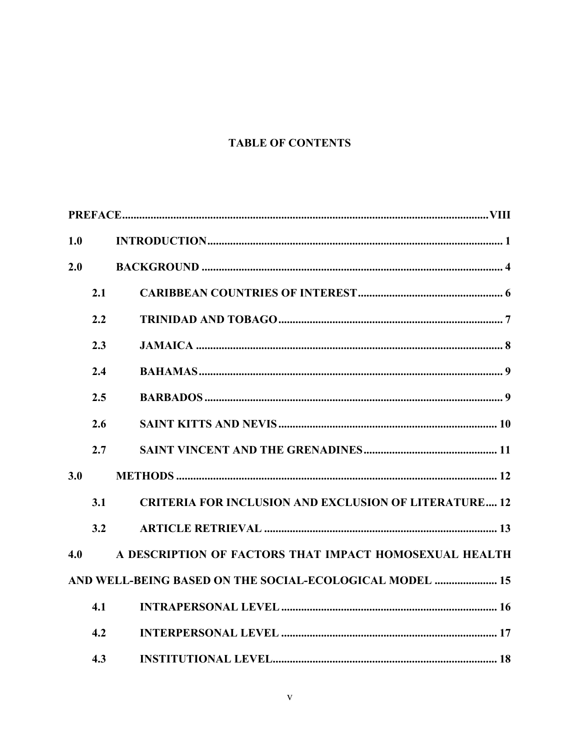# **TABLE OF CONTENTS**

| 1.0 |     |                                                              |
|-----|-----|--------------------------------------------------------------|
| 2.0 |     |                                                              |
|     | 2.1 |                                                              |
|     | 2.2 |                                                              |
|     | 2.3 |                                                              |
|     | 2.4 |                                                              |
|     | 2.5 |                                                              |
|     | 2.6 |                                                              |
|     | 2.7 |                                                              |
| 3.0 |     |                                                              |
|     | 3.1 | <b>CRITERIA FOR INCLUSION AND EXCLUSION OF LITERATURE 12</b> |
|     | 3.2 |                                                              |
| 4.0 |     | A DESCRIPTION OF FACTORS THAT IMPACT HOMOSEXUAL HEALTH       |
|     |     | AND WELL-BEING BASED ON THE SOCIAL-ECOLOGICAL MODEL  15      |
|     | 4.1 |                                                              |
|     | 4.2 |                                                              |
|     | 4.3 |                                                              |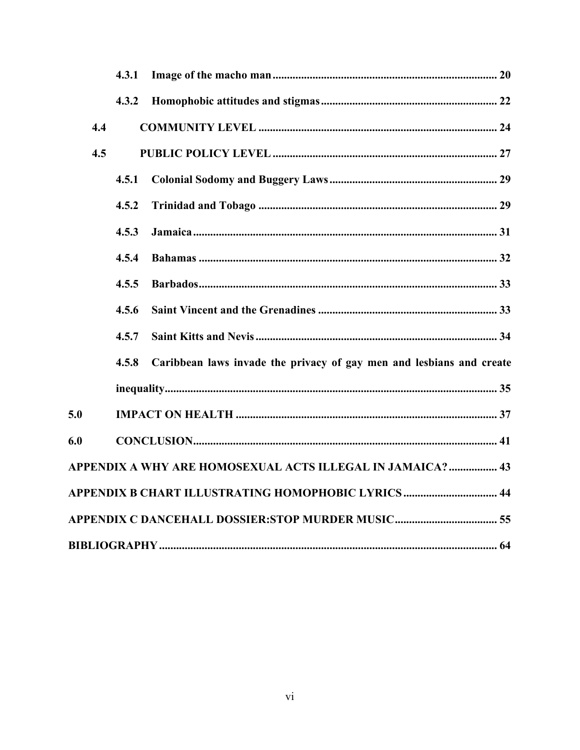|     | 4.3.1 |                                                                      |  |  |  |  |  |
|-----|-------|----------------------------------------------------------------------|--|--|--|--|--|
|     | 4.3.2 |                                                                      |  |  |  |  |  |
| 4.4 |       |                                                                      |  |  |  |  |  |
| 4.5 |       |                                                                      |  |  |  |  |  |
|     | 4.5.1 |                                                                      |  |  |  |  |  |
|     | 4.5.2 |                                                                      |  |  |  |  |  |
|     | 4.5.3 |                                                                      |  |  |  |  |  |
|     | 4.5.4 |                                                                      |  |  |  |  |  |
|     | 4.5.5 |                                                                      |  |  |  |  |  |
|     | 4.5.6 |                                                                      |  |  |  |  |  |
|     | 4.5.7 |                                                                      |  |  |  |  |  |
|     | 4.5.8 | Caribbean laws invade the privacy of gay men and lesbians and create |  |  |  |  |  |
|     |       |                                                                      |  |  |  |  |  |
| 5.0 |       |                                                                      |  |  |  |  |  |
| 6.0 |       |                                                                      |  |  |  |  |  |
|     |       | APPENDIX A WHY ARE HOMOSEXUAL ACTS ILLEGAL IN JAMAICA?  43           |  |  |  |  |  |
|     |       | APPENDIX B CHART ILLUSTRATING HOMOPHOBIC LYRICS  44                  |  |  |  |  |  |
|     |       |                                                                      |  |  |  |  |  |
|     |       |                                                                      |  |  |  |  |  |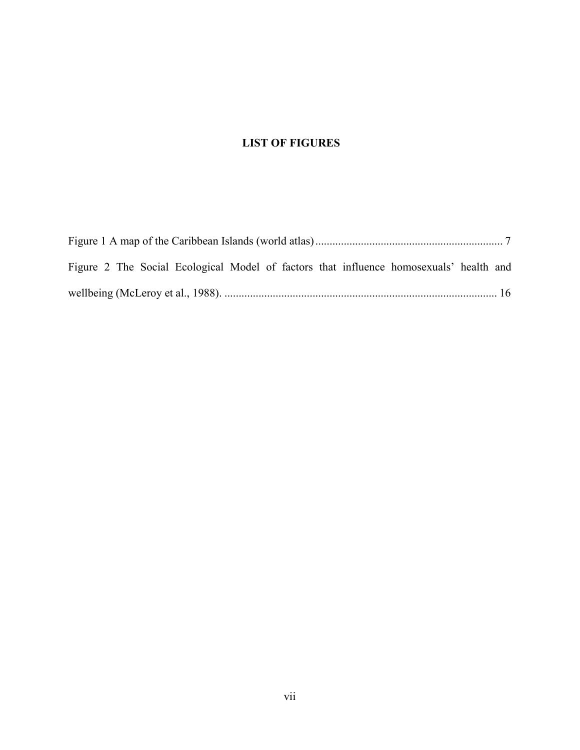# **LIST OF FIGURES**

| Figure 2 The Social Ecological Model of factors that influence homosexuals' health and |  |  |  |  |  |  |  |  |  |
|----------------------------------------------------------------------------------------|--|--|--|--|--|--|--|--|--|
|                                                                                        |  |  |  |  |  |  |  |  |  |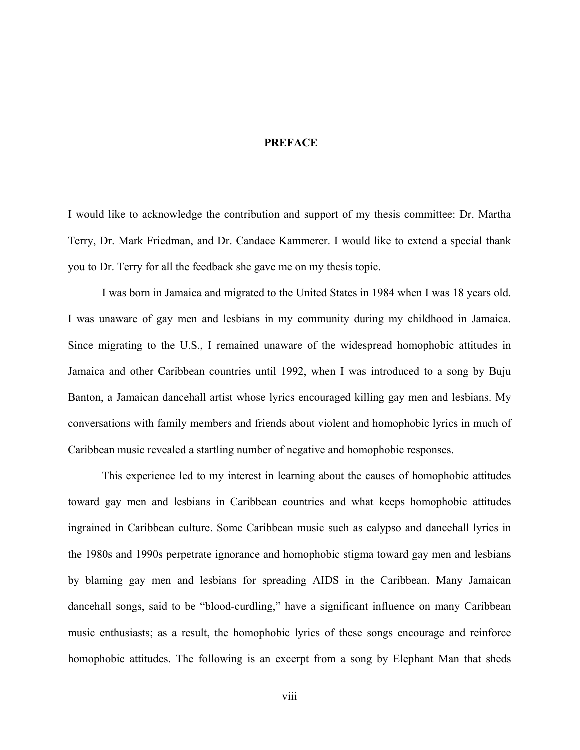#### <span id="page-7-0"></span>**PREFACE**

I would like to acknowledge the contribution and support of my thesis committee: Dr. Martha Terry, Dr. Mark Friedman, and Dr. Candace Kammerer. I would like to extend a special thank you to Dr. Terry for all the feedback she gave me on my thesis topic.

I was born in Jamaica and migrated to the United States in 1984 when I was 18 years old. I was unaware of gay men and lesbians in my community during my childhood in Jamaica. Since migrating to the U.S., I remained unaware of the widespread homophobic attitudes in Jamaica and other Caribbean countries until 1992, when I was introduced to a song by Buju Banton, a Jamaican dancehall artist whose lyrics encouraged killing gay men and lesbians. My conversations with family members and friends about violent and homophobic lyrics in much of Caribbean music revealed a startling number of negative and homophobic responses.

This experience led to my interest in learning about the causes of homophobic attitudes toward gay men and lesbians in Caribbean countries and what keeps homophobic attitudes ingrained in Caribbean culture. Some Caribbean music such as calypso and dancehall lyrics in the 1980s and 1990s perpetrate ignorance and homophobic stigma toward gay men and lesbians by blaming gay men and lesbians for spreading AIDS in the Caribbean. Many Jamaican dancehall songs, said to be "blood-curdling," have a significant influence on many Caribbean music enthusiasts; as a result, the homophobic lyrics of these songs encourage and reinforce homophobic attitudes. The following is an excerpt from a song by Elephant Man that sheds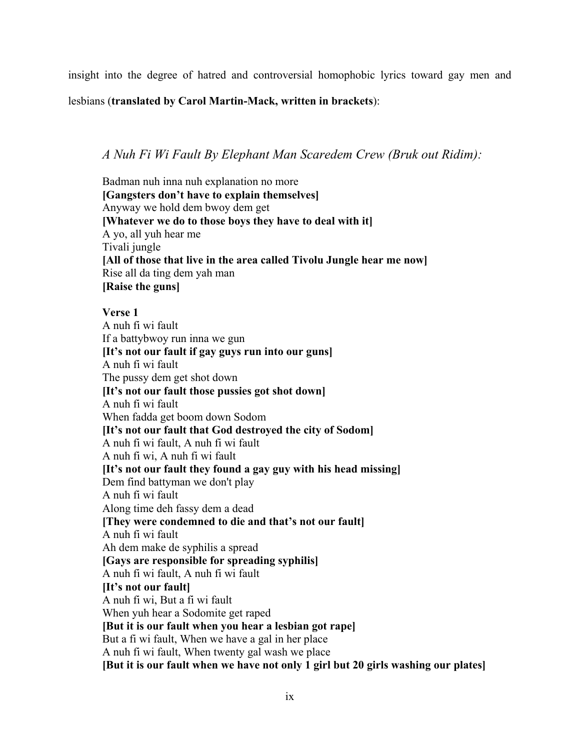insight into the degree of hatred and controversial homophobic lyrics toward gay men and

lesbians (**translated by Carol Martin-Mack, written in brackets**):

# *A Nuh Fi Wi Fault By Elephant Man Scaredem Crew (Bruk out Ridim):*

Badman nuh inna nuh explanation no more **[Gangsters don't have to explain themselves]** Anyway we hold dem bwoy dem get **[Whatever we do to those boys they have to deal with it]**  A yo, all yuh hear me Tivali jungle **[All of those that live in the area called Tivolu Jungle hear me now]** Rise all da ting dem yah man **[Raise the guns]**

# **Verse 1**

A nuh fi wi fault If a battybwoy run inna we gun **[It's not our fault if gay guys run into our guns]**  A nuh fi wi fault The pussy dem get shot down **[It's not our fault those pussies got shot down]** A nuh fi wi fault When fadda get boom down Sodom **[It's not our fault that God destroyed the city of Sodom]** A nuh fi wi fault, A nuh fi wi fault A nuh fi wi, A nuh fi wi fault **[It's not our fault they found a gay guy with his head missing]**  Dem find battyman we don't play A nuh fi wi fault Along time deh fassy dem a dead **[They were condemned to die and that's not our fault]** A nuh fi wi fault Ah dem make de syphilis a spread **[Gays are responsible for spreading syphilis]** A nuh fi wi fault, A nuh fi wi fault **[It's not our fault]** A nuh fi wi, But a fi wi fault When yuh hear a Sodomite get raped **[But it is our fault when you hear a lesbian got rape]** But a fi wi fault, When we have a gal in her place A nuh fi wi fault, When twenty gal wash we place **[But it is our fault when we have not only 1 girl but 20 girls washing our plates]**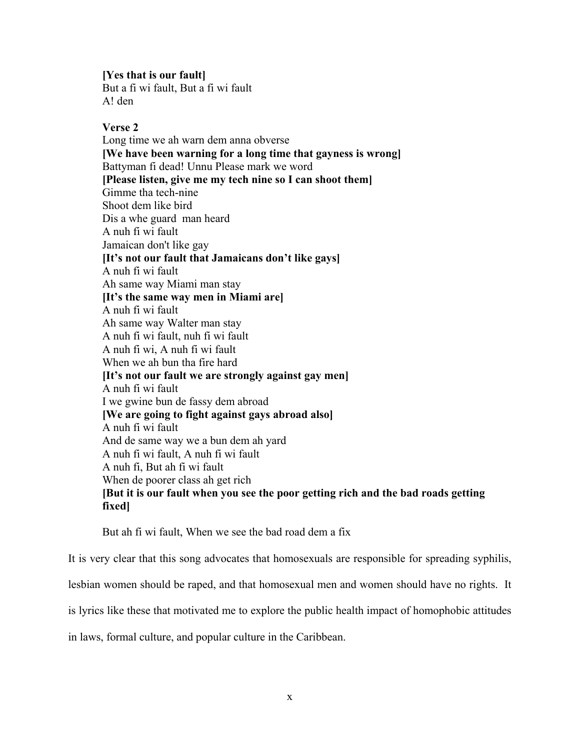**[Yes that is our fault]**

But a fi wi fault, But a fi wi fault A! den

# **Verse 2**

Long time we ah warn dem anna obverse **[We have been warning for a long time that gayness is wrong]**  Battyman fi dead! Unnu Please mark we word **[Please listen, give me my tech nine so I can shoot them]**  Gimme tha tech-nine Shoot dem like bird Dis a whe guard man heard A nuh fi wi fault Jamaican don't like gay **[It's not our fault that Jamaicans don't like gays]** A nuh fi wi fault Ah same way Miami man stay **[It's the same way men in Miami are]** A nuh fi wi fault Ah same way Walter man stay A nuh fi wi fault, nuh fi wi fault A nuh fi wi, A nuh fi wi fault When we ah bun tha fire hard **[It's not our fault we are strongly against gay men]**  A nuh fi wi fault I we gwine bun de fassy dem abroad **[We are going to fight against gays abroad also]** A nuh fi wi fault And de same way we a bun dem ah yard A nuh fi wi fault, A nuh fi wi fault A nuh fi, But ah fi wi fault When de poorer class ah get rich **[But it is our fault when you see the poor getting rich and the bad roads getting fixed]**

But ah fi wi fault, When we see the bad road dem a fix

It is very clear that this song advocates that homosexuals are responsible for spreading syphilis,

lesbian women should be raped, and that homosexual men and women should have no rights. It

is lyrics like these that motivated me to explore the public health impact of homophobic attitudes

in laws, formal culture, and popular culture in the Caribbean.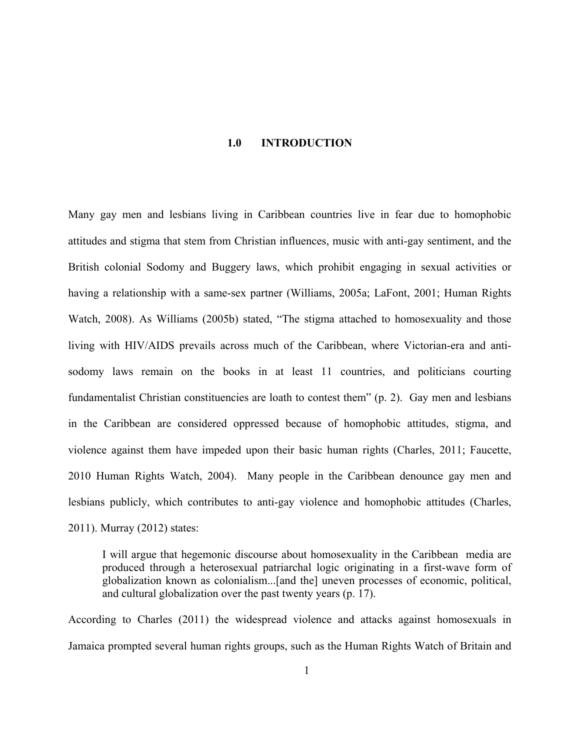#### **1.0 INTRODUCTION**

<span id="page-10-0"></span>Many gay men and lesbians living in Caribbean countries live in fear due to homophobic attitudes and stigma that stem from Christian influences, music with anti-gay sentiment, and the British colonial Sodomy and Buggery laws, which prohibit engaging in sexual activities or having a relationship with a same-sex partner (Williams, 2005a; LaFont, 2001; Human Rights Watch, 2008). As Williams (2005b) stated, "The stigma attached to homosexuality and those living with HIV/AIDS prevails across much of the Caribbean, where Victorian-era and antisodomy laws remain on the books in at least 11 countries, and politicians courting fundamentalist Christian constituencies are loath to contest them" (p. 2). Gay men and lesbians in the Caribbean are considered oppressed because of homophobic attitudes, stigma, and violence against them have impeded upon their basic human rights (Charles, 2011; Faucette, 2010 Human Rights Watch, 2004). Many people in the Caribbean denounce gay men and lesbians publicly, which contributes to anti-gay violence and homophobic attitudes (Charles, 2011). Murray (2012) states:

I will argue that hegemonic discourse about homosexuality in the Caribbean media are produced through a heterosexual patriarchal logic originating in a first-wave form of globalization known as colonialism...[and the] uneven processes of economic, political, and cultural globalization over the past twenty years (p. 17).

According to Charles (2011) the widespread violence and attacks against homosexuals in Jamaica prompted several human rights groups, such as the Human Rights Watch of Britain and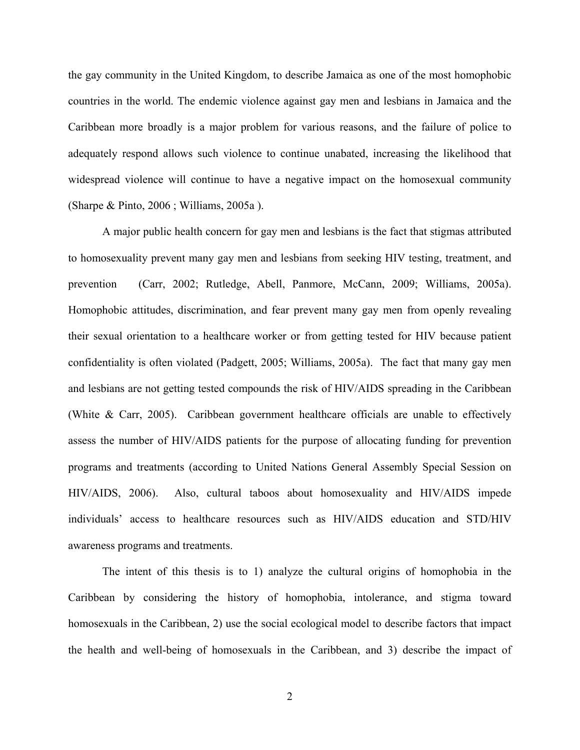the gay community in the United Kingdom, to describe Jamaica as one of the most homophobic countries in the world. The endemic violence against gay men and lesbians in Jamaica and the Caribbean more broadly is a major problem for various reasons, and the failure of police to adequately respond allows such violence to continue unabated, increasing the likelihood that widespread violence will continue to have a negative impact on the homosexual community (Sharpe & Pinto, 2006 ; Williams, 2005a ).

A major public health concern for gay men and lesbians is the fact that stigmas attributed to homosexuality prevent many gay men and lesbians from seeking HIV testing, treatment, and prevention (Carr, 2002; Rutledge, Abell, Panmore, McCann, 2009; Williams, 2005a). Homophobic attitudes, discrimination, and fear prevent many gay men from openly revealing their sexual orientation to a healthcare worker or from getting tested for HIV because patient confidentiality is often violated (Padgett, 2005; Williams, 2005a). The fact that many gay men and lesbians are not getting tested compounds the risk of HIV/AIDS spreading in the Caribbean (White & Carr, 2005). Caribbean government healthcare officials are unable to effectively assess the number of HIV/AIDS patients for the purpose of allocating funding for prevention programs and treatments (according to United Nations General Assembly Special Session on HIV/AIDS, 2006). Also, cultural taboos about homosexuality and HIV/AIDS impede individuals' access to healthcare resources such as HIV/AIDS education and STD/HIV awareness programs and treatments.

The intent of this thesis is to 1) analyze the cultural origins of homophobia in the Caribbean by considering the history of homophobia, intolerance, and stigma toward homosexuals in the Caribbean, 2) use the social ecological model to describe factors that impact the health and well-being of homosexuals in the Caribbean, and 3) describe the impact of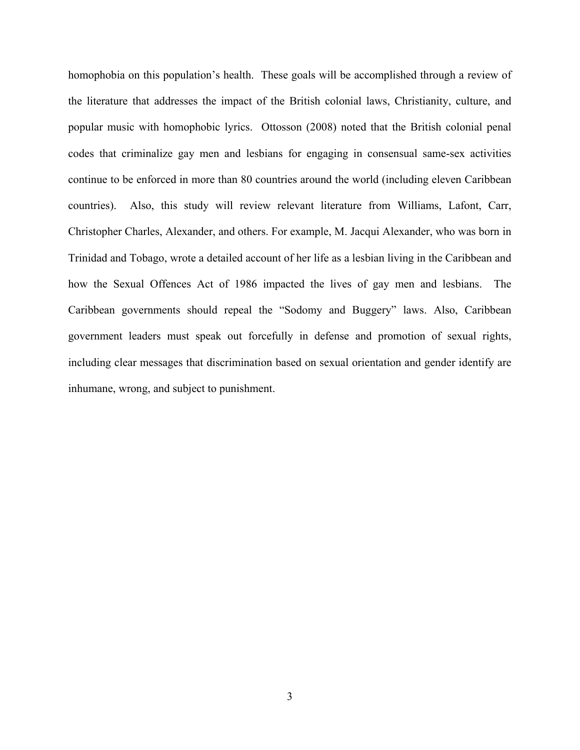homophobia on this population's health. These goals will be accomplished through a review of the literature that addresses the impact of the British colonial laws, Christianity, culture, and popular music with homophobic lyrics. Ottosson (2008) noted that the British colonial penal codes that criminalize gay men and lesbians for engaging in consensual same-sex activities continue to be enforced in more than 80 countries around the world (including eleven Caribbean countries). Also, this study will review relevant literature from Williams, Lafont, Carr, Christopher Charles, Alexander, and others. For example, M. Jacqui Alexander, who was born in Trinidad and Tobago, wrote a detailed account of her life as a lesbian living in the Caribbean and how the Sexual Offences Act of 1986 impacted the lives of gay men and lesbians. The Caribbean governments should repeal the "Sodomy and Buggery" laws. Also, Caribbean government leaders must speak out forcefully in defense and promotion of sexual rights, including clear messages that discrimination based on sexual orientation and gender identify are inhumane, wrong, and subject to punishment.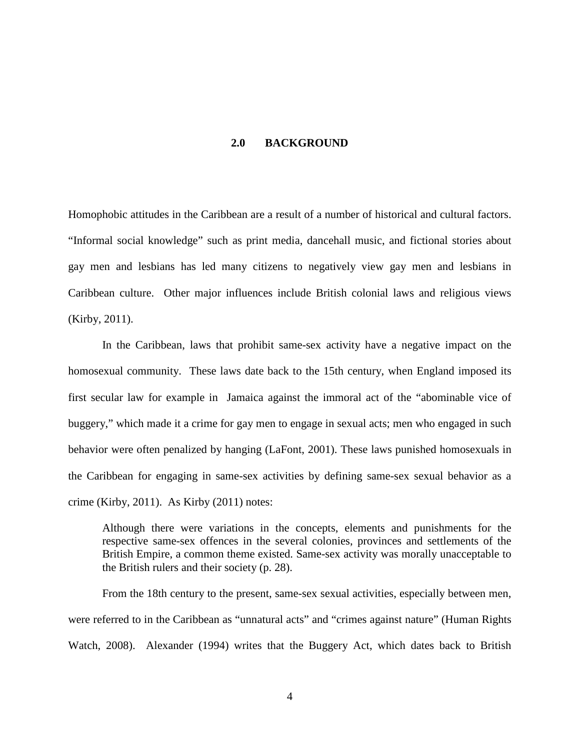#### **2.0 BACKGROUND**

<span id="page-13-0"></span>Homophobic attitudes in the Caribbean are a result of a number of historical and cultural factors. "Informal social knowledge" such as print media, dancehall music, and fictional stories about gay men and lesbians has led many citizens to negatively view gay men and lesbians in Caribbean culture. Other major influences include British colonial laws and religious views (Kirby, 2011).

In the Caribbean, laws that prohibit same-sex activity have a negative impact on the homosexual community. These laws date back to the 15th century, when England imposed its first secular law for example in Jamaica against the immoral act of the "abominable vice of buggery," which made it a crime for gay men to engage in sexual acts; men who engaged in such behavior were often penalized by hanging (LaFont, 2001). These laws punished homosexuals in the Caribbean for engaging in same-sex activities by defining same-sex sexual behavior as a crime (Kirby, 2011). As Kirby (2011) notes:

Although there were variations in the concepts, elements and punishments for the respective same-sex offences in the several colonies, provinces and settlements of the British Empire, a common theme existed. Same-sex activity was morally unacceptable to the British rulers and their society (p. 28).

From the 18th century to the present, same-sex sexual activities, especially between men, were referred to in the Caribbean as "unnatural acts" and "crimes against nature" (Human Rights Watch, 2008). Alexander (1994) writes that the Buggery Act, which dates back to British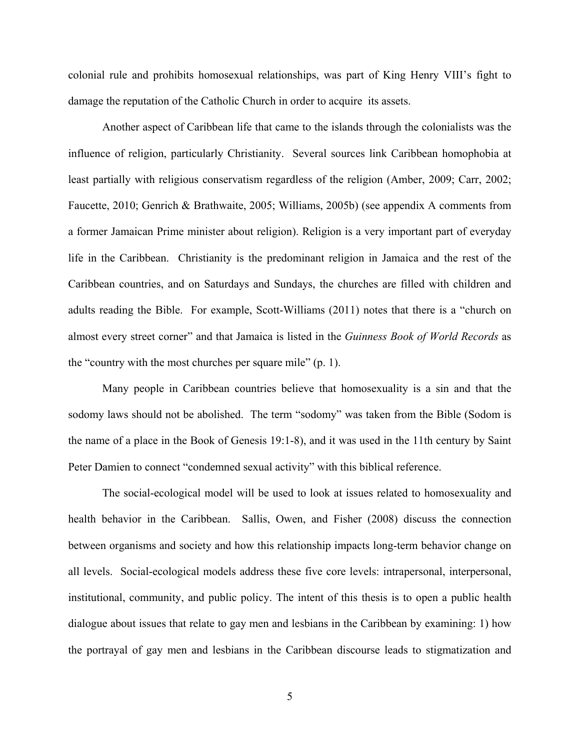colonial rule and prohibits homosexual relationships, was part of King Henry VIII's fight to damage the reputation of the Catholic Church in order to acquire its assets.

Another aspect of Caribbean life that came to the islands through the colonialists was the influence of religion, particularly Christianity. Several sources link Caribbean homophobia at least partially with religious conservatism regardless of the religion (Amber, 2009; Carr, 2002; Faucette, 2010; Genrich & Brathwaite, 2005; Williams, 2005b) (see appendix A comments from a former Jamaican Prime minister about religion). Religion is a very important part of everyday life in the Caribbean. Christianity is the predominant religion in Jamaica and the rest of the Caribbean countries, and on Saturdays and Sundays, the churches are filled with children and adults reading the Bible. For example, Scott-Williams (2011) notes that there is a "church on almost every street corner" and that Jamaica is listed in the *Guinness Book of World Records* as the "country with the most churches per square mile" (p. 1).

Many people in Caribbean countries believe that homosexuality is a sin and that the sodomy laws should not be abolished. The term "sodomy" was taken from the Bible (Sodom is the name of a place in the Book of Genesis 19:1-8), and it was used in the 11th century by Saint Peter Damien to connect "condemned sexual activity" with this biblical reference.

The social-ecological model will be used to look at issues related to homosexuality and health behavior in the Caribbean. Sallis, Owen, and Fisher (2008) discuss the connection between organisms and society and how this relationship impacts long-term behavior change on all levels. Social-ecological models address these five core levels: intrapersonal, interpersonal, institutional, community, and public policy. The intent of this thesis is to open a public health dialogue about issues that relate to gay men and lesbians in the Caribbean by examining: 1) how the portrayal of gay men and lesbians in the Caribbean discourse leads to stigmatization and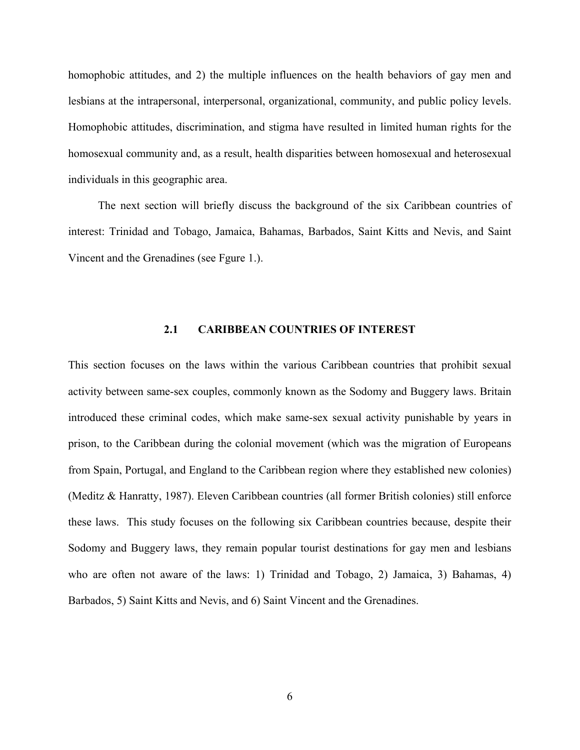homophobic attitudes, and 2) the multiple influences on the health behaviors of gay men and lesbians at the intrapersonal, interpersonal, organizational, community, and public policy levels. Homophobic attitudes, discrimination, and stigma have resulted in limited human rights for the homosexual community and, as a result, health disparities between homosexual and heterosexual individuals in this geographic area.

<span id="page-15-0"></span>The next section will briefly discuss the background of the six Caribbean countries of interest: Trinidad and Tobago, Jamaica, Bahamas, Barbados, Saint Kitts and Nevis, and Saint Vincent and the Grenadines (see Fgure 1.).

#### **2.1 CARIBBEAN COUNTRIES OF INTEREST**

This section focuses on the laws within the various Caribbean countries that prohibit sexual activity between same-sex couples, commonly known as the Sodomy and Buggery laws. Britain introduced these criminal codes, which make same-sex sexual activity punishable by years in prison, to the Caribbean during the colonial movement (which was the migration of Europeans from Spain, Portugal, and England to the Caribbean region where they established new colonies) (Meditz & Hanratty, 1987). Eleven Caribbean countries (all former British colonies) still enforce these laws. This study focuses on the following six Caribbean countries because, despite their Sodomy and Buggery laws, they remain popular tourist destinations for gay men and lesbians who are often not aware of the laws: 1) Trinidad and Tobago, 2) Jamaica, 3) Bahamas, 4) Barbados, 5) Saint Kitts and Nevis, and 6) Saint Vincent and the Grenadines.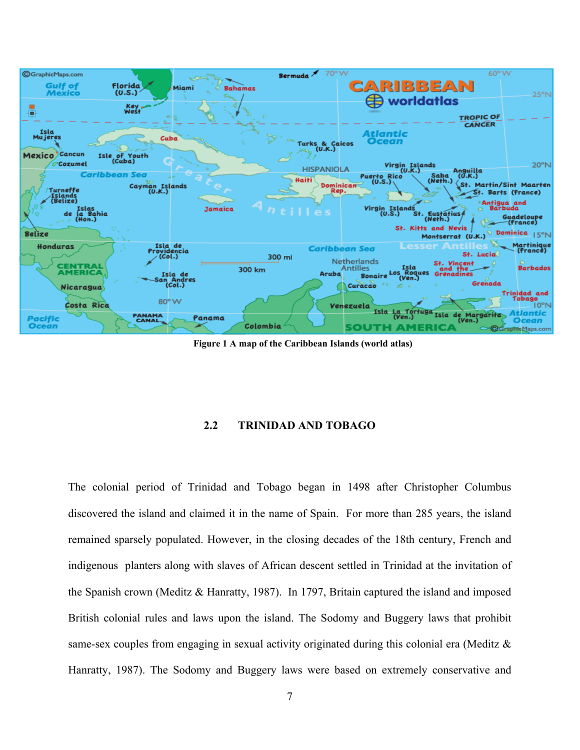<span id="page-16-1"></span>

**Figure 1 A map of the Caribbean Islands (world atlas)**

#### **2.2 TRINIDAD AND TOBAGO**

<span id="page-16-0"></span>The colonial period of Trinidad and Tobago began in 1498 after Christopher Columbus discovered the island and claimed it in the name of Spain. For more than 285 years, the island remained sparsely populated. However, in the closing decades of the 18th century, French and indigenous planters along with slaves of African descent settled in Trinidad at the invitation of the Spanish crown (Meditz & Hanratty, 1987). In 1797, Britain captured the island and imposed British colonial rules and laws upon the island. The Sodomy and Buggery laws that prohibit same-sex couples from engaging in sexual activity originated during this colonial era (Meditz & Hanratty, 1987). The Sodomy and Buggery laws were based on extremely conservative and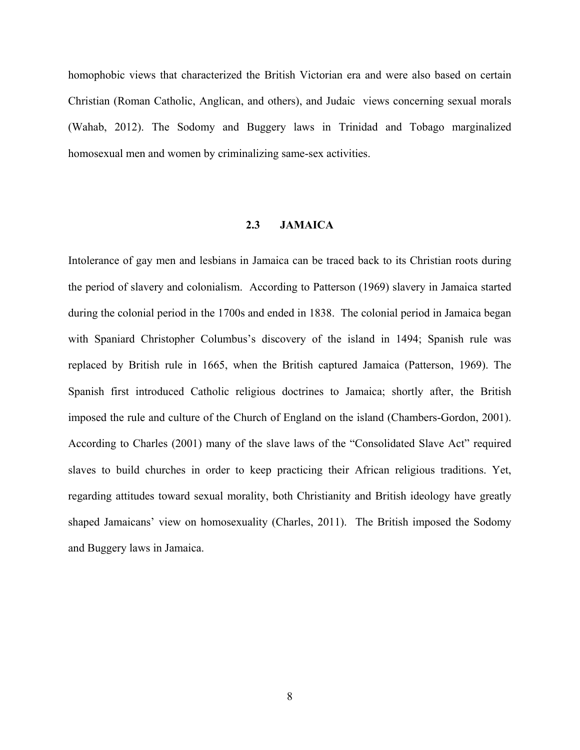homophobic views that characterized the British Victorian era and were also based on certain Christian (Roman Catholic, Anglican, and others), and Judaic views concerning sexual morals (Wahab, 2012). The Sodomy and Buggery laws in Trinidad and Tobago marginalized homosexual men and women by criminalizing same-sex activities.

# **2.3 JAMAICA**

<span id="page-17-0"></span>Intolerance of gay men and lesbians in Jamaica can be traced back to its Christian roots during the period of slavery and colonialism. According to Patterson (1969) slavery in Jamaica started during the colonial period in the 1700s and ended in 1838. The colonial period in Jamaica began with Spaniard Christopher Columbus's discovery of the island in 1494; Spanish rule was replaced by British rule in 1665, when the British captured Jamaica (Patterson, 1969). The Spanish first introduced Catholic religious doctrines to Jamaica; shortly after, the British imposed the rule and culture of the Church of England on the island (Chambers-Gordon, 2001). According to Charles (2001) many of the slave laws of the "Consolidated Slave Act" required slaves to build churches in order to keep practicing their African religious traditions. Yet, regarding attitudes toward sexual morality, both Christianity and British ideology have greatly shaped Jamaicans' view on homosexuality (Charles, 2011). The British imposed the Sodomy and Buggery laws in Jamaica.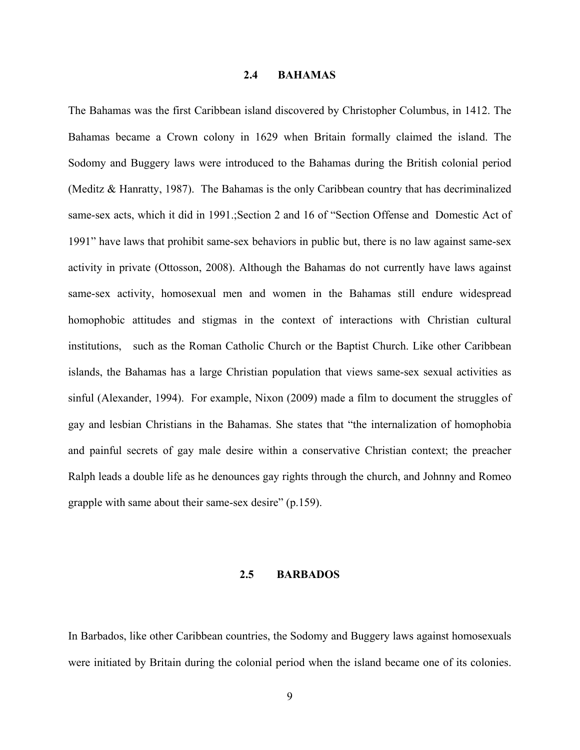#### **2.4 BAHAMAS**

<span id="page-18-0"></span>The Bahamas was the first Caribbean island discovered by Christopher Columbus, in 1412. The Bahamas became a Crown colony in 1629 when Britain formally claimed the island. The Sodomy and Buggery laws were introduced to the Bahamas during the British colonial period (Meditz & Hanratty, 1987). The Bahamas is the only Caribbean country that has decriminalized same-sex acts, which it did in 1991.;Section 2 and 16 of "Section Offense and Domestic Act of 1991" have laws that prohibit same-sex behaviors in public but, there is no law against same-sex activity in private (Ottosson, 2008). Although the Bahamas do not currently have laws against same-sex activity, homosexual men and women in the Bahamas still endure widespread homophobic attitudes and stigmas in the context of interactions with Christian cultural institutions, such as the Roman Catholic Church or the Baptist Church. Like other Caribbean islands, the Bahamas has a large Christian population that views same-sex sexual activities as sinful (Alexander, 1994). For example, Nixon (2009) made a film to document the struggles of gay and lesbian Christians in the Bahamas. She states that "the internalization of homophobia and painful secrets of gay male desire within a conservative Christian context; the preacher Ralph leads a double life as he denounces gay rights through the church, and Johnny and Romeo grapple with same about their same-sex desire" (p.159).

#### <span id="page-18-1"></span>**2.5 BARBADOS**

In Barbados, like other Caribbean countries, the Sodomy and Buggery laws against homosexuals were initiated by Britain during the colonial period when the island became one of its colonies.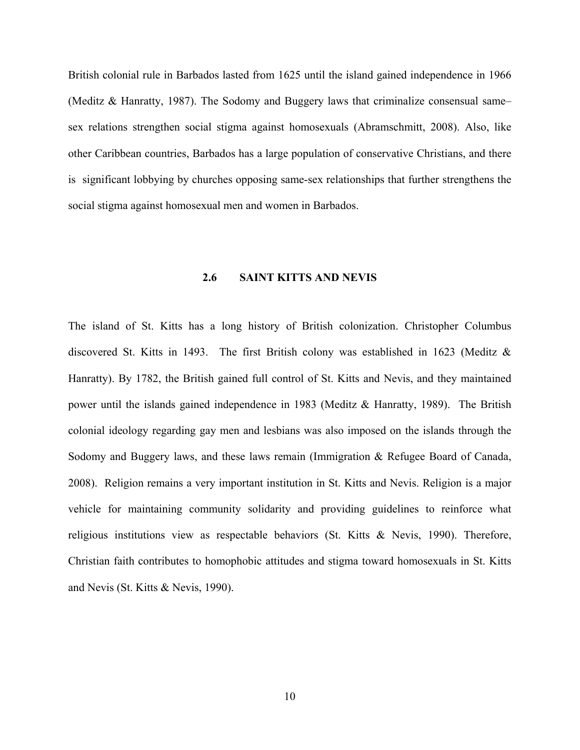British colonial rule in Barbados lasted from 1625 until the island gained independence in 1966 (Meditz & Hanratty, 1987). The Sodomy and Buggery laws that criminalize consensual same– sex relations strengthen social stigma against homosexuals (Abramschmitt, 2008). Also, like other Caribbean countries, Barbados has a large population of conservative Christians, and there is significant lobbying by churches opposing same-sex relationships that further strengthens the social stigma against homosexual men and women in Barbados.

# <span id="page-19-0"></span>**2.6 SAINT KITTS AND NEVIS**

The island of St. Kitts has a long history of British colonization. Christopher Columbus discovered St. Kitts in 1493. The first British colony was established in 1623 (Meditz & Hanratty). By 1782, the British gained full control of St. Kitts and Nevis, and they maintained power until the islands gained independence in 1983 (Meditz & Hanratty, 1989). The British colonial ideology regarding gay men and lesbians was also imposed on the islands through the Sodomy and Buggery laws, and these laws remain (Immigration & Refugee Board of Canada, 2008). Religion remains a very important institution in St. Kitts and Nevis. Religion is a major vehicle for maintaining community solidarity and providing guidelines to reinforce what religious institutions view as respectable behaviors (St. Kitts & Nevis, 1990). Therefore, Christian faith contributes to homophobic attitudes and stigma toward homosexuals in St. Kitts and Nevis (St. Kitts & Nevis, 1990).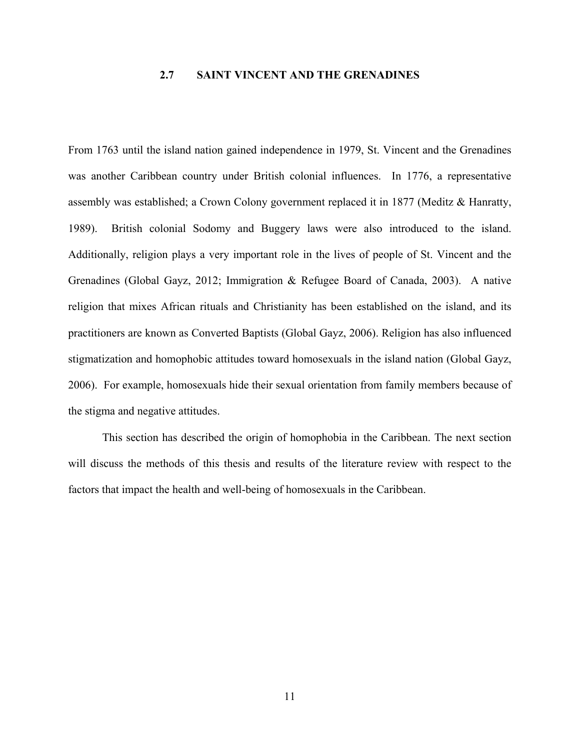# <span id="page-20-0"></span>**2.7 SAINT VINCENT AND THE GRENADINES**

From 1763 until the island nation gained independence in 1979, St. Vincent and the Grenadines was another Caribbean country under British colonial influences. In 1776, a representative assembly was established; a Crown Colony government replaced it in 1877 (Meditz & Hanratty, 1989). British colonial Sodomy and Buggery laws were also introduced to the island. Additionally, religion plays a very important role in the lives of people of St. Vincent and the Grenadines (Global Gayz, 2012; Immigration & Refugee Board of Canada, 2003). A native religion that mixes African rituals and Christianity has been established on the island, and its practitioners are known as Converted Baptists (Global Gayz, 2006). Religion has also influenced stigmatization and homophobic attitudes toward homosexuals in the island nation (Global Gayz, 2006). For example, homosexuals hide their sexual orientation from family members because of the stigma and negative attitudes.

This section has described the origin of homophobia in the Caribbean. The next section will discuss the methods of this thesis and results of the literature review with respect to the factors that impact the health and well-being of homosexuals in the Caribbean.

11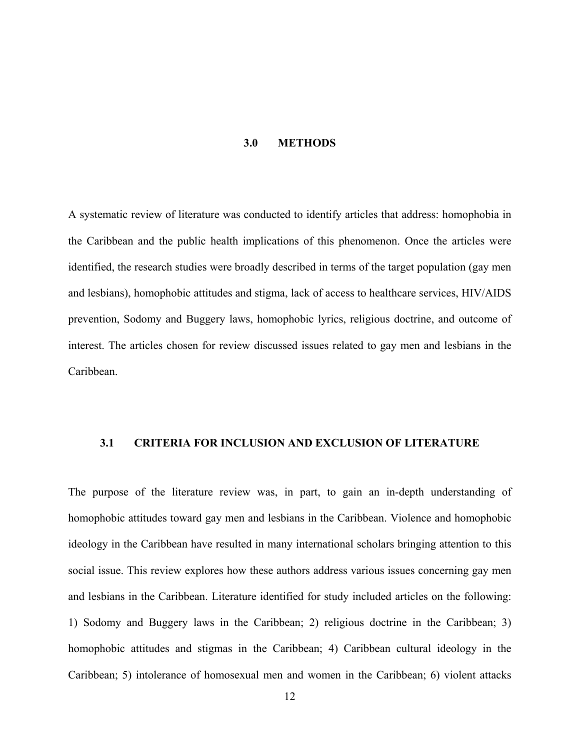#### **3.0 METHODS**

<span id="page-21-0"></span>A systematic review of literature was conducted to identify articles that address: homophobia in the Caribbean and the public health implications of this phenomenon. Once the articles were identified, the research studies were broadly described in terms of the target population (gay men and lesbians), homophobic attitudes and stigma, lack of access to healthcare services, HIV/AIDS prevention, Sodomy and Buggery laws, homophobic lyrics, religious doctrine, and outcome of interest. The articles chosen for review discussed issues related to gay men and lesbians in the Caribbean.

#### <span id="page-21-1"></span>**3.1 CRITERIA FOR INCLUSION AND EXCLUSION OF LITERATURE**

The purpose of the literature review was, in part, to gain an in-depth understanding of homophobic attitudes toward gay men and lesbians in the Caribbean. Violence and homophobic ideology in the Caribbean have resulted in many international scholars bringing attention to this social issue. This review explores how these authors address various issues concerning gay men and lesbians in the Caribbean. Literature identified for study included articles on the following: 1) Sodomy and Buggery laws in the Caribbean; 2) religious doctrine in the Caribbean; 3) homophobic attitudes and stigmas in the Caribbean; 4) Caribbean cultural ideology in the Caribbean; 5) intolerance of homosexual men and women in the Caribbean; 6) violent attacks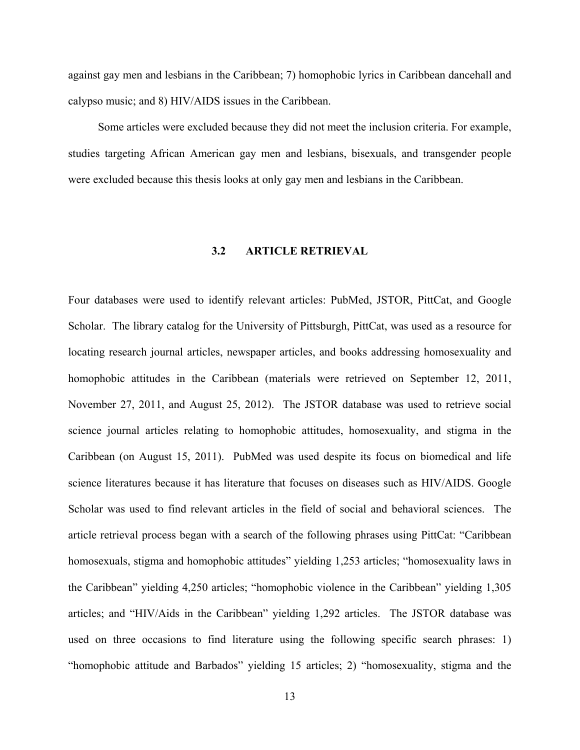against gay men and lesbians in the Caribbean; 7) homophobic lyrics in Caribbean dancehall and calypso music; and 8) HIV/AIDS issues in the Caribbean.

<span id="page-22-0"></span>Some articles were excluded because they did not meet the inclusion criteria. For example, studies targeting African American gay men and lesbians, bisexuals, and transgender people were excluded because this thesis looks at only gay men and lesbians in the Caribbean.

#### **3.2 ARTICLE RETRIEVAL**

Four databases were used to identify relevant articles: PubMed, JSTOR, PittCat, and Google Scholar. The library catalog for the University of Pittsburgh, PittCat, was used as a resource for locating research journal articles, newspaper articles, and books addressing homosexuality and homophobic attitudes in the Caribbean (materials were retrieved on September 12, 2011, November 27, 2011, and August 25, 2012). The JSTOR database was used to retrieve social science journal articles relating to homophobic attitudes, homosexuality, and stigma in the Caribbean (on August 15, 2011). PubMed was used despite its focus on biomedical and life science literatures because it has literature that focuses on diseases such as HIV/AIDS. Google Scholar was used to find relevant articles in the field of social and behavioral sciences. The article retrieval process began with a search of the following phrases using PittCat: "Caribbean homosexuals, stigma and homophobic attitudes" yielding 1,253 articles; "homosexuality laws in the Caribbean" yielding 4,250 articles; "homophobic violence in the Caribbean" yielding 1,305 articles; and "HIV/Aids in the Caribbean" yielding 1,292 articles. The JSTOR database was used on three occasions to find literature using the following specific search phrases: 1) "homophobic attitude and Barbados" yielding 15 articles; 2) "homosexuality, stigma and the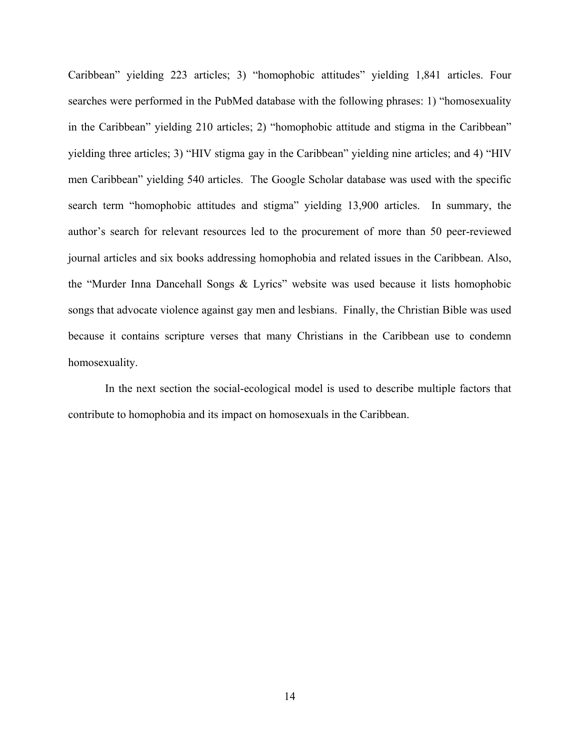Caribbean" yielding 223 articles; 3) "homophobic attitudes" yielding 1,841 articles. Four searches were performed in the PubMed database with the following phrases: 1) "homosexuality in the Caribbean" yielding 210 articles; 2) "homophobic attitude and stigma in the Caribbean" yielding three articles; 3) "HIV stigma gay in the Caribbean" yielding nine articles; and 4) "HIV men Caribbean" yielding 540 articles. The Google Scholar database was used with the specific search term "homophobic attitudes and stigma" yielding 13,900 articles. In summary, the author's search for relevant resources led to the procurement of more than 50 peer-reviewed journal articles and six books addressing homophobia and related issues in the Caribbean. Also, the "Murder Inna Dancehall Songs & Lyrics" website was used because it lists homophobic songs that advocate violence against gay men and lesbians. Finally, the Christian Bible was used because it contains scripture verses that many Christians in the Caribbean use to condemn homosexuality.

In the next section the social-ecological model is used to describe multiple factors that contribute to homophobia and its impact on homosexuals in the Caribbean.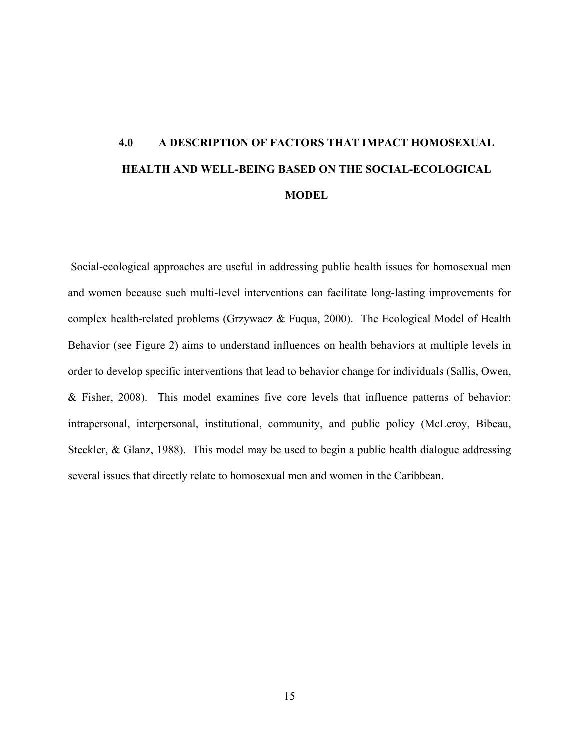# <span id="page-24-0"></span>**4.0 A DESCRIPTION OF FACTORS THAT IMPACT HOMOSEXUAL HEALTH AND WELL-BEING BASED ON THE SOCIAL-ECOLOGICAL MODEL**

Social-ecological approaches are useful in addressing public health issues for homosexual men and women because such multi-level interventions can facilitate long-lasting improvements for complex health-related problems (Grzywacz & Fuqua, 2000). The Ecological Model of Health Behavior (see Figure 2) aims to understand influences on health behaviors at multiple levels in order to develop specific interventions that lead to behavior change for individuals (Sallis, Owen, & Fisher, 2008). This model examines five core levels that influence patterns of behavior: intrapersonal, interpersonal, institutional, community, and public policy (McLeroy, Bibeau, Steckler, & Glanz, 1988). This model may be used to begin a public health dialogue addressing several issues that directly relate to homosexual men and women in the Caribbean.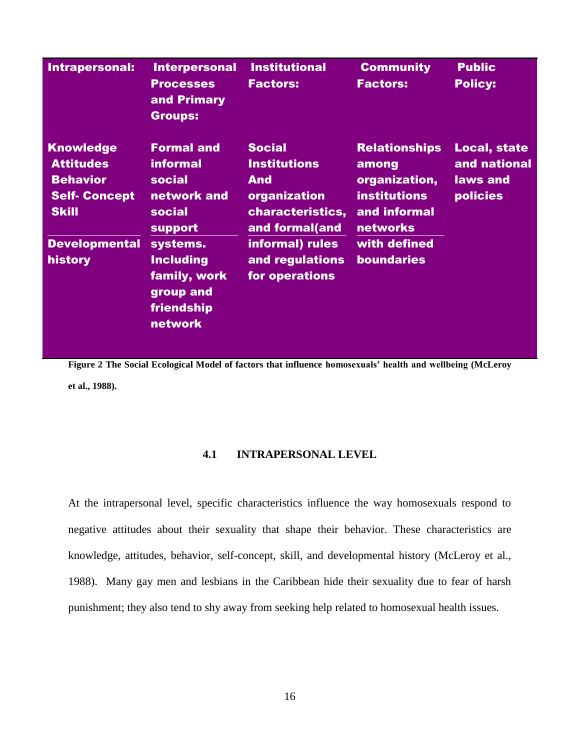<span id="page-25-0"></span>

| Intrapersonal:                                                                                 | <b>Interpersonal</b><br><b>Processes</b><br>and Primary<br><b>Groups:</b>                 | <b>Institutional</b><br><b>Factors:</b>                                                                  | <b>Community</b><br><b>Factors:</b>                                                                      | <b>Public</b><br><b>Policy:</b>                                    |
|------------------------------------------------------------------------------------------------|-------------------------------------------------------------------------------------------|----------------------------------------------------------------------------------------------------------|----------------------------------------------------------------------------------------------------------|--------------------------------------------------------------------|
| <b>Knowledge</b><br><b>Attitudes</b><br><b>Behavior</b><br><b>Self-Concept</b><br><b>Skill</b> | <b>Formal and</b><br><b>informal</b><br>social<br>network and<br>social<br><b>support</b> | <b>Social</b><br><b>Institutions</b><br><b>And</b><br>organization<br>characteristics,<br>and formal(and | <b>Relationships</b><br>among<br>organization,<br><b>institutions</b><br>and informal<br><b>networks</b> | <b>Local, state</b><br>and national<br>laws and<br><b>policies</b> |
| <b>Developmental</b><br>history                                                                | systems.<br><b>Including</b><br>family, work<br>group and<br>friendship<br>network        | informal) rules<br>and regulations<br>for operations                                                     | with defined<br><b>boundaries</b>                                                                        |                                                                    |

**Figure 2 The Social Ecological Model of factors that influence homosexuals' health and wellbeing (McLeroy et al., 1988).**

# **4.1 INTRAPERSONAL LEVEL**

At the intrapersonal level, specific characteristics influence the way homosexuals respond to negative attitudes about their sexuality that shape their behavior. These characteristics are knowledge, attitudes, behavior, self-concept, skill, and developmental history (McLeroy et al., 1988). Many gay men and lesbians in the Caribbean hide their sexuality due to fear of harsh punishment; they also tend to shy away from seeking help related to homosexual health issues.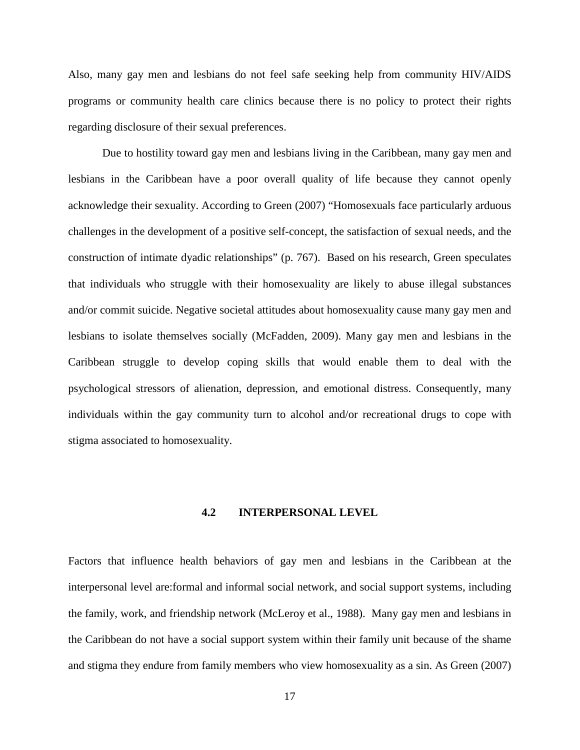Also, many gay men and lesbians do not feel safe seeking help from community HIV/AIDS programs or community health care clinics because there is no policy to protect their rights regarding disclosure of their sexual preferences.

Due to hostility toward gay men and lesbians living in the Caribbean, many gay men and lesbians in the Caribbean have a poor overall quality of life because they cannot openly acknowledge their sexuality. According to Green (2007) "Homosexuals face particularly arduous challenges in the development of a positive self-concept, the satisfaction of sexual needs, and the construction of intimate dyadic relationships" (p. 767). Based on his research, Green speculates that individuals who struggle with their homosexuality are likely to abuse illegal substances and/or commit suicide. Negative societal attitudes about homosexuality cause many gay men and lesbians to isolate themselves socially (McFadden, 2009). Many gay men and lesbians in the Caribbean struggle to develop coping skills that would enable them to deal with the psychological stressors of alienation, depression, and emotional distress. Consequently, many individuals within the gay community turn to alcohol and/or recreational drugs to cope with stigma associated to homosexuality.

#### <span id="page-26-0"></span>**4.2 INTERPERSONAL LEVEL**

Factors that influence health behaviors of gay men and lesbians in the Caribbean at the interpersonal level are:formal and informal social network, and social support systems, including the family, work, and friendship network (McLeroy et al., 1988). Many gay men and lesbians in the Caribbean do not have a social support system within their family unit because of the shame and stigma they endure from family members who view homosexuality as a sin. As Green (2007)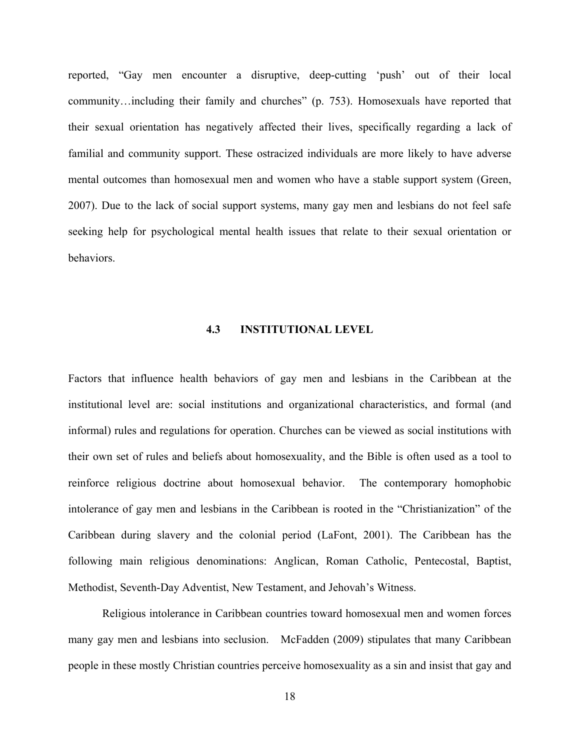reported, "Gay men encounter a disruptive, deep-cutting 'push' out of their local community…including their family and churches" (p. 753). Homosexuals have reported that their sexual orientation has negatively affected their lives, specifically regarding a lack of familial and community support. These ostracized individuals are more likely to have adverse mental outcomes than homosexual men and women who have a stable support system (Green, 2007). Due to the lack of social support systems, many gay men and lesbians do not feel safe seeking help for psychological mental health issues that relate to their sexual orientation or behaviors.

## **4.3 INSTITUTIONAL LEVEL**

<span id="page-27-0"></span>Factors that influence health behaviors of gay men and lesbians in the Caribbean at the institutional level are: social institutions and organizational characteristics, and formal (and informal) rules and regulations for operation. Churches can be viewed as social institutions with their own set of rules and beliefs about homosexuality, and the Bible is often used as a tool to reinforce religious doctrine about homosexual behavior.The contemporary homophobic intolerance of gay men and lesbians in the Caribbean is rooted in the "Christianization" of the Caribbean during slavery and the colonial period (LaFont, 2001). The Caribbean has the following main religious denominations: Anglican, Roman Catholic, Pentecostal, Baptist, Methodist, Seventh-Day Adventist, New Testament, and Jehovah's Witness.

Religious intolerance in Caribbean countries toward homosexual men and women forces many gay men and lesbians into seclusion. McFadden (2009) stipulates that many Caribbean people in these mostly Christian countries perceive homosexuality as a sin and insist that gay and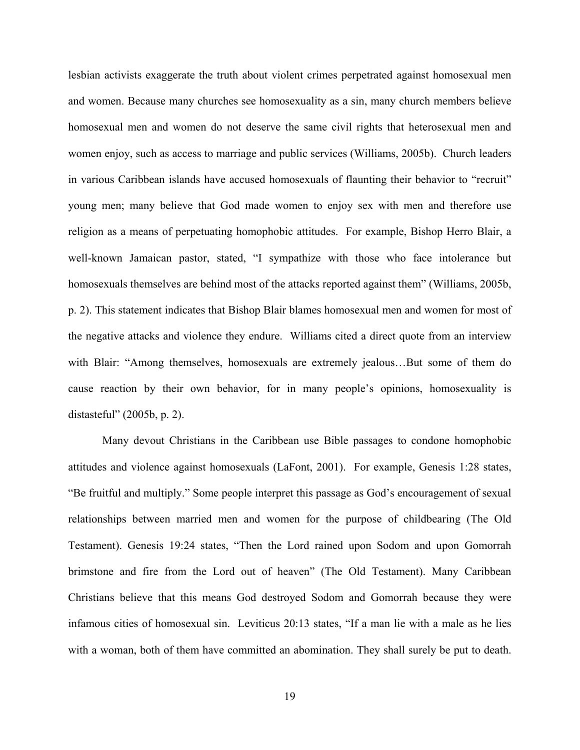lesbian activists exaggerate the truth about violent crimes perpetrated against homosexual men and women. Because many churches see homosexuality as a sin, many church members believe homosexual men and women do not deserve the same civil rights that heterosexual men and women enjoy, such as access to marriage and public services (Williams, 2005b). Church leaders in various Caribbean islands have accused homosexuals of flaunting their behavior to "recruit" young men; many believe that God made women to enjoy sex with men and therefore use religion as a means of perpetuating homophobic attitudes. For example, Bishop Herro Blair, a well-known Jamaican pastor, stated, "I sympathize with those who face intolerance but homosexuals themselves are behind most of the attacks reported against them" (Williams, 2005b, p. 2). This statement indicates that Bishop Blair blames homosexual men and women for most of the negative attacks and violence they endure. Williams cited a direct quote from an interview with Blair: "Among themselves, homosexuals are extremely jealous…But some of them do cause reaction by their own behavior, for in many people's opinions, homosexuality is distasteful" (2005b, p. 2).

Many devout Christians in the Caribbean use Bible passages to condone homophobic attitudes and violence against homosexuals (LaFont, 2001). For example, Genesis 1:28 states, "Be fruitful and multiply." Some people interpret this passage as God's encouragement of sexual relationships between married men and women for the purpose of childbearing (The Old Testament). Genesis 19:24 states, "Then the Lord rained upon Sodom and upon Gomorrah brimstone and fire from the Lord out of heaven" (The Old Testament). Many Caribbean Christians believe that this means God destroyed Sodom and Gomorrah because they were infamous cities of homosexual sin. Leviticus 20:13 states, "If a man lie with a male as he lies with a woman, both of them have committed an abomination. They shall surely be put to death.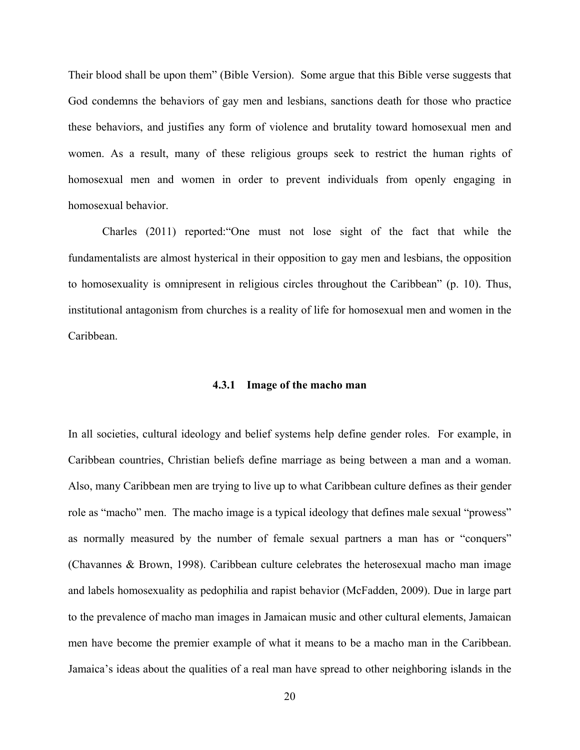Their blood shall be upon them" (Bible Version). Some argue that this Bible verse suggests that God condemns the behaviors of gay men and lesbians, sanctions death for those who practice these behaviors, and justifies any form of violence and brutality toward homosexual men and women. As a result, many of these religious groups seek to restrict the human rights of homosexual men and women in order to prevent individuals from openly engaging in homosexual behavior.

Charles (2011) reported:"One must not lose sight of the fact that while the fundamentalists are almost hysterical in their opposition to gay men and lesbians, the opposition to homosexuality is omnipresent in religious circles throughout the Caribbean" (p. 10). Thus, institutional antagonism from churches is a reality of life for homosexual men and women in the Caribbean.

#### **4.3.1 Image of the macho man**

<span id="page-29-0"></span>In all societies, cultural ideology and belief systems help define gender roles. For example, in Caribbean countries, Christian beliefs define marriage as being between a man and a woman. Also, many Caribbean men are trying to live up to what Caribbean culture defines as their gender role as "macho" men. The macho image is a typical ideology that defines male sexual "prowess" as normally measured by the number of female sexual partners a man has or "conquers" (Chavannes & Brown, 1998). Caribbean culture celebrates the heterosexual macho man image and labels homosexuality as pedophilia and rapist behavior (McFadden, 2009). Due in large part to the prevalence of macho man images in Jamaican music and other cultural elements, Jamaican men have become the premier example of what it means to be a macho man in the Caribbean. Jamaica's ideas about the qualities of a real man have spread to other neighboring islands in the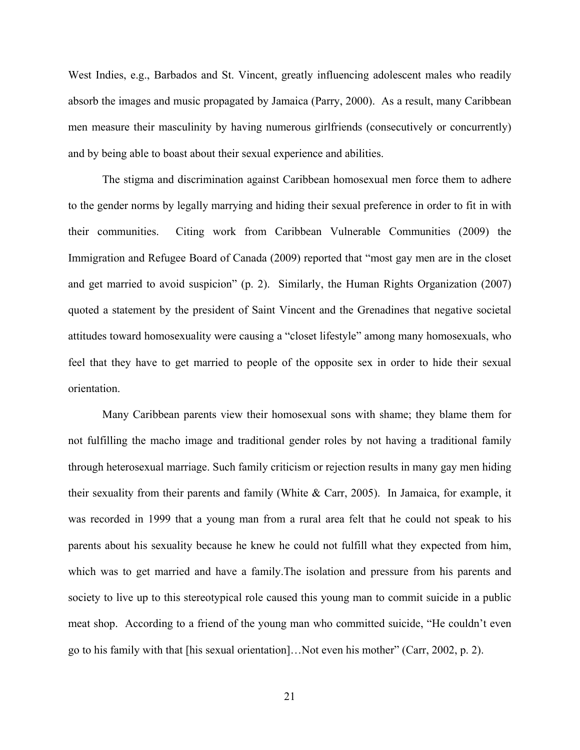West Indies, e.g., Barbados and St. Vincent, greatly influencing adolescent males who readily absorb the images and music propagated by Jamaica (Parry, 2000). As a result, many Caribbean men measure their masculinity by having numerous girlfriends (consecutively or concurrently) and by being able to boast about their sexual experience and abilities.

The stigma and discrimination against Caribbean homosexual men force them to adhere to the gender norms by legally marrying and hiding their sexual preference in order to fit in with their communities. Citing work from Caribbean Vulnerable Communities (2009) the Immigration and Refugee Board of Canada (2009) reported that "most gay men are in the closet and get married to avoid suspicion" (p. 2). Similarly, the Human Rights Organization (2007) quoted a statement by the president of Saint Vincent and the Grenadines that negative societal attitudes toward homosexuality were causing a "closet lifestyle" among many homosexuals, who feel that they have to get married to people of the opposite sex in order to hide their sexual orientation.

Many Caribbean parents view their homosexual sons with shame; they blame them for not fulfilling the macho image and traditional gender roles by not having a traditional family through heterosexual marriage. Such family criticism or rejection results in many gay men hiding their sexuality from their parents and family (White & Carr, 2005). In Jamaica, for example, it was recorded in 1999 that a young man from a rural area felt that he could not speak to his parents about his sexuality because he knew he could not fulfill what they expected from him, which was to get married and have a family.The isolation and pressure from his parents and society to live up to this stereotypical role caused this young man to commit suicide in a public meat shop. According to a friend of the young man who committed suicide, "He couldn't even go to his family with that [his sexual orientation]…Not even his mother" (Carr, 2002, p. 2).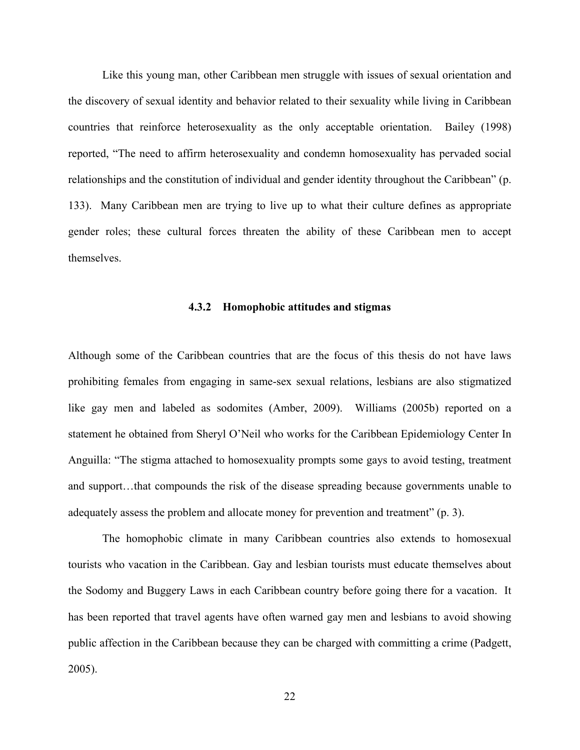Like this young man, other Caribbean men struggle with issues of sexual orientation and the discovery of sexual identity and behavior related to their sexuality while living in Caribbean countries that reinforce heterosexuality as the only acceptable orientation. Bailey (1998) reported, "The need to affirm heterosexuality and condemn homosexuality has pervaded social relationships and the constitution of individual and gender identity throughout the Caribbean" (p. 133). Many Caribbean men are trying to live up to what their culture defines as appropriate gender roles; these cultural forces threaten the ability of these Caribbean men to accept themselves.

#### **4.3.2 Homophobic attitudes and stigmas**

<span id="page-31-0"></span>Although some of the Caribbean countries that are the focus of this thesis do not have laws prohibiting females from engaging in same-sex sexual relations, lesbians are also stigmatized like gay men and labeled as sodomites (Amber, 2009). Williams (2005b) reported on a statement he obtained from Sheryl O'Neil who works for the Caribbean Epidemiology Center In Anguilla: "The stigma attached to homosexuality prompts some gays to avoid testing, treatment and support…that compounds the risk of the disease spreading because governments unable to adequately assess the problem and allocate money for prevention and treatment" (p. 3).

The homophobic climate in many Caribbean countries also extends to homosexual tourists who vacation in the Caribbean. Gay and lesbian tourists must educate themselves about the Sodomy and Buggery Laws in each Caribbean country before going there for a vacation. It has been reported that travel agents have often warned gay men and lesbians to avoid showing public affection in the Caribbean because they can be charged with committing a crime (Padgett, 2005).

22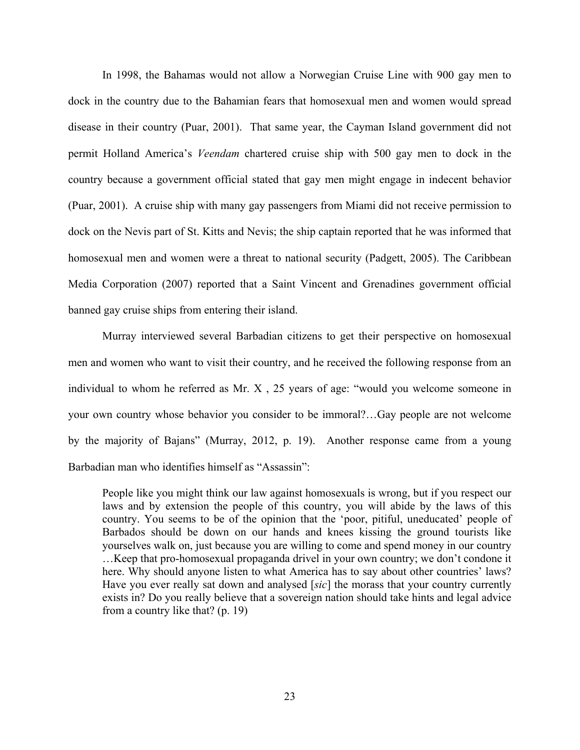In 1998, the Bahamas would not allow a Norwegian Cruise Line with 900 gay men to dock in the country due to the Bahamian fears that homosexual men and women would spread disease in their country (Puar, 2001). That same year, the Cayman Island government did not permit Holland America's *Veendam* chartered cruise ship with 500 gay men to dock in the country because a government official stated that gay men might engage in indecent behavior (Puar, 2001). A cruise ship with many gay passengers from Miami did not receive permission to dock on the Nevis part of St. Kitts and Nevis; the ship captain reported that he was informed that homosexual men and women were a threat to national security (Padgett, 2005). The Caribbean Media Corporation (2007) reported that a Saint Vincent and Grenadines government official banned gay cruise ships from entering their island.

Murray interviewed several Barbadian citizens to get their perspective on homosexual men and women who want to visit their country, and he received the following response from an individual to whom he referred as Mr. X , 25 years of age: "would you welcome someone in your own country whose behavior you consider to be immoral?…Gay people are not welcome by the majority of Bajans" (Murray, 2012, p. 19). Another response came from a young Barbadian man who identifies himself as "Assassin":

People like you might think our law against homosexuals is wrong, but if you respect our laws and by extension the people of this country, you will abide by the laws of this country. You seems to be of the opinion that the 'poor, pitiful, uneducated' people of Barbados should be down on our hands and knees kissing the ground tourists like yourselves walk on, just because you are willing to come and spend money in our country …Keep that pro-homosexual propaganda drivel in your own country; we don't condone it here. Why should anyone listen to what America has to say about other countries' laws? Have you ever really sat down and analysed [*sic*] the morass that your country currently exists in? Do you really believe that a sovereign nation should take hints and legal advice from a country like that? (p. 19)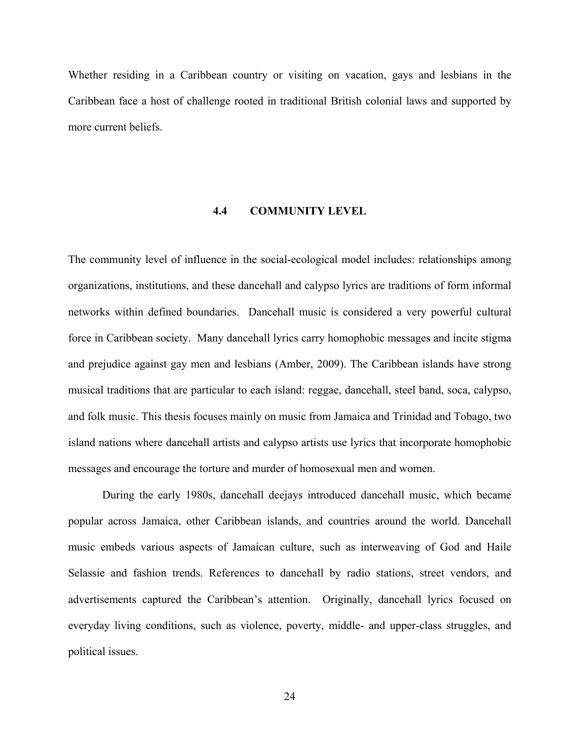Whether residing in a Caribbean country or visiting on vacation, gays and lesbians in the Caribbean face a host of challenge rooted in traditional British colonial laws and supported by more current beliefs.

# <span id="page-33-0"></span>**4.4 COMMUNITY LEVEL**

The community level of influence in the social-ecological model includes: relationships among organizations, institutions, and these dancehall and calypso lyrics are traditions of form informal networks within defined boundaries. Dancehall music is considered a very powerful cultural force in Caribbean society. Many dancehall lyrics carry homophobic messages and incite stigma and prejudice against gay men and lesbians (Amber, 2009). The Caribbean islands have strong musical traditions that are particular to each island: reggae, dancehall, steel band, soca, calypso, and folk music. This thesis focuses mainly on music from Jamaica and Trinidad and Tobago, two island nations where dancehall artists and calypso artists use lyrics that incorporate homophobic messages and encourage the torture and murder of homosexual men and women.

During the early 1980s, dancehall deejays introduced dancehall music, which became popular across Jamaica, other Caribbean islands, and countries around the world. Dancehall music embeds various aspects of Jamaican culture, such as interweaving of God and Haile Selassie and fashion trends. References to dancehall by radio stations, street vendors, and advertisements captured the Caribbean's attention. Originally, dancehall lyrics focused on everyday living conditions, such as violence, poverty, middle- and upper-class struggles, and political issues.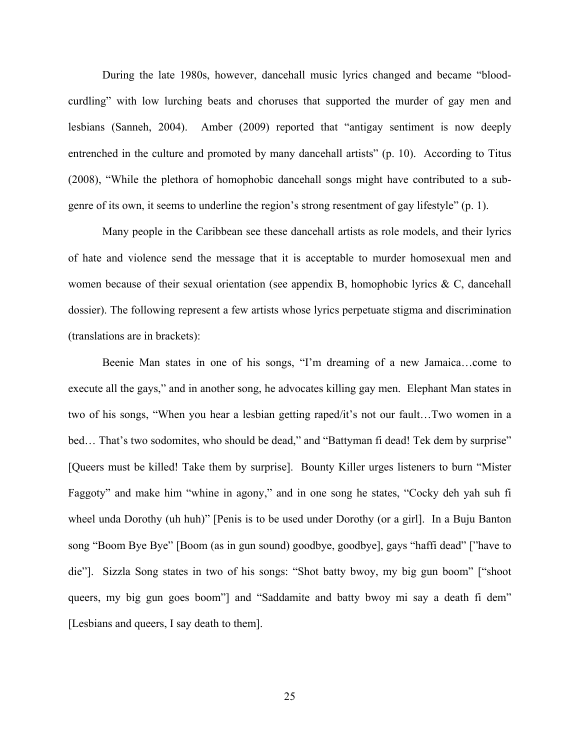During the late 1980s, however, dancehall music lyrics changed and became "bloodcurdling" with low lurching beats and choruses that supported the murder of gay men and lesbians (Sanneh, 2004). Amber (2009) reported that "antigay sentiment is now deeply entrenched in the culture and promoted by many dancehall artists" (p. 10). According to Titus (2008), "While the plethora of homophobic dancehall songs might have contributed to a subgenre of its own, it seems to underline the region's strong resentment of gay lifestyle" (p. 1).

Many people in the Caribbean see these dancehall artists as role models, and their lyrics of hate and violence send the message that it is acceptable to murder homosexual men and women because of their sexual orientation (see appendix B, homophobic lyrics  $\& C$ , dancehall dossier). The following represent a few artists whose lyrics perpetuate stigma and discrimination (translations are in brackets):

Beenie Man states in one of his songs, "I'm dreaming of a new Jamaica…come to execute all the gays," and in another song, he advocates killing gay men. Elephant Man states in two of his songs, "When you hear a lesbian getting raped/it's not our fault…Two women in a bed... That's two sodomites, who should be dead," and "Battyman fi dead! Tek dem by surprise" [Queers must be killed! Take them by surprise]. Bounty Killer urges listeners to burn "Mister Faggoty" and make him "whine in agony," and in one song he states, "Cocky deh yah suh fi wheel unda Dorothy (uh huh)" [Penis is to be used under Dorothy (or a girl]. In a Buju Banton song "Boom Bye Bye" [Boom (as in gun sound) goodbye, goodbye], gays "haffi dead" ["have to die"]. Sizzla Song states in two of his songs: "Shot batty bwoy, my big gun boom" ["shoot queers, my big gun goes boom"] and "Saddamite and batty bwoy mi say a death fi dem" [Lesbians and queers, I say death to them].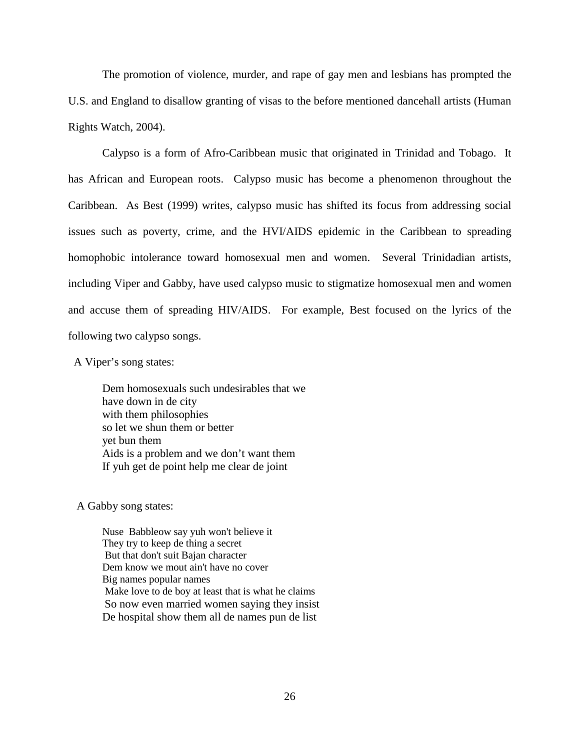The promotion of violence, murder, and rape of gay men and lesbians has prompted the U.S. and England to disallow granting of visas to the before mentioned dancehall artists (Human Rights Watch, 2004).

Calypso is a form of Afro-Caribbean music that originated in Trinidad and Tobago. It has African and European roots. Calypso music has become a phenomenon throughout the Caribbean. As Best (1999) writes, calypso music has shifted its focus from addressing social issues such as poverty, crime, and the HVI/AIDS epidemic in the Caribbean to spreading homophobic intolerance toward homosexual men and women. Several Trinidadian artists, including Viper and Gabby, have used calypso music to stigmatize homosexual men and women and accuse them of spreading HIV/AIDS. For example, Best focused on the lyrics of the following two calypso songs.

A Viper's song states:

Dem homosexuals such undesirables that we have down in de city with them philosophies so let we shun them or better yet bun them Aids is a problem and we don't want them If yuh get de point help me clear de joint

A Gabby song states:

 Nuse Babbleow say yuh won't believe it They try to keep de thing a secret But that don't suit Bajan character Dem know we mout ain't have no cover Big names popular names Make love to de boy at least that is what he claims So now even married women saying they insist De hospital show them all de names pun de list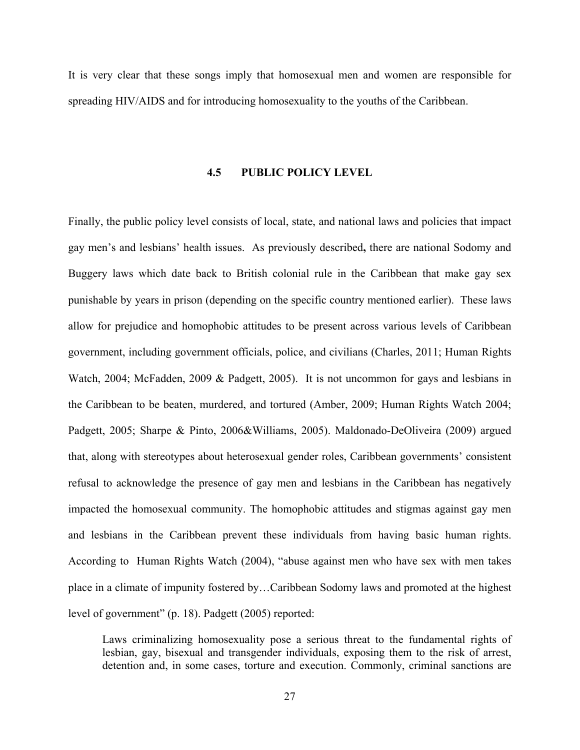It is very clear that these songs imply that homosexual men and women are responsible for spreading HIV/AIDS and for introducing homosexuality to the youths of the Caribbean.

#### **4.5 PUBLIC POLICY LEVEL**

Finally, the public policy level consists of local, state, and national laws and policies that impact gay men's and lesbians' health issues.As previously described**,** there are national Sodomy and Buggery laws which date back to British colonial rule in the Caribbean that make gay sex punishable by years in prison (depending on the specific country mentioned earlier). These laws allow for prejudice and homophobic attitudes to be present across various levels of Caribbean government, including government officials, police, and civilians (Charles, 2011; Human Rights Watch, 2004; McFadden, 2009 & Padgett, 2005). It is not uncommon for gays and lesbians in the Caribbean to be beaten, murdered, and tortured (Amber, 2009; Human Rights Watch 2004; Padgett, 2005; Sharpe & Pinto, 2006&Williams, 2005). Maldonado-DeOliveira (2009) argued that, along with stereotypes about heterosexual gender roles, Caribbean governments' consistent refusal to acknowledge the presence of gay men and lesbians in the Caribbean has negatively impacted the homosexual community. The homophobic attitudes and stigmas against gay men and lesbians in the Caribbean prevent these individuals from having basic human rights. According to Human Rights Watch (2004), "abuse against men who have sex with men takes place in a climate of impunity fostered by…Caribbean Sodomy laws and promoted at the highest level of government" (p. 18). Padgett (2005) reported:

Laws criminalizing homosexuality pose a serious threat to the fundamental rights of lesbian, gay, bisexual and transgender individuals, exposing them to the risk of arrest, detention and, in some cases, torture and execution. Commonly, criminal sanctions are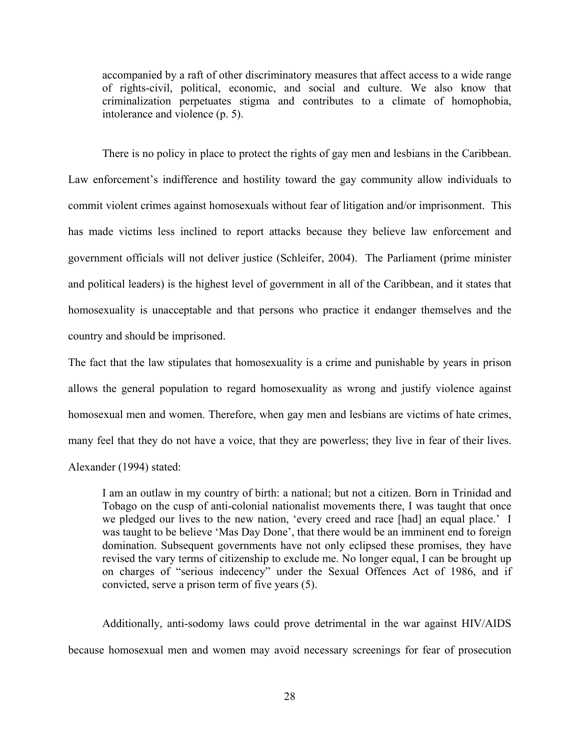accompanied by a raft of other discriminatory measures that affect access to a wide range of rights-civil, political, economic, and social and culture. We also know that criminalization perpetuates stigma and contributes to a climate of homophobia, intolerance and violence (p. 5).

There is no policy in place to protect the rights of gay men and lesbians in the Caribbean. Law enforcement's indifference and hostility toward the gay community allow individuals to commit violent crimes against homosexuals without fear of litigation and/or imprisonment. This has made victims less inclined to report attacks because they believe law enforcement and government officials will not deliver justice (Schleifer, 2004). The Parliament (prime minister and political leaders) is the highest level of government in all of the Caribbean, and it states that homosexuality is unacceptable and that persons who practice it endanger themselves and the country and should be imprisoned.

The fact that the law stipulates that homosexuality is a crime and punishable by years in prison allows the general population to regard homosexuality as wrong and justify violence against homosexual men and women. Therefore, when gay men and lesbians are victims of hate crimes, many feel that they do not have a voice, that they are powerless; they live in fear of their lives. Alexander (1994) stated:

I am an outlaw in my country of birth: a national; but not a citizen. Born in Trinidad and Tobago on the cusp of anti-colonial nationalist movements there, I was taught that once we pledged our lives to the new nation, 'every creed and race [had] an equal place.' I was taught to be believe 'Mas Day Done', that there would be an imminent end to foreign domination. Subsequent governments have not only eclipsed these promises, they have revised the vary terms of citizenship to exclude me. No longer equal, I can be brought up on charges of "serious indecency" under the Sexual Offences Act of 1986, and if convicted, serve a prison term of five years (5).

Additionally, anti-sodomy laws could prove detrimental in the war against HIV/AIDS because homosexual men and women may avoid necessary screenings for fear of prosecution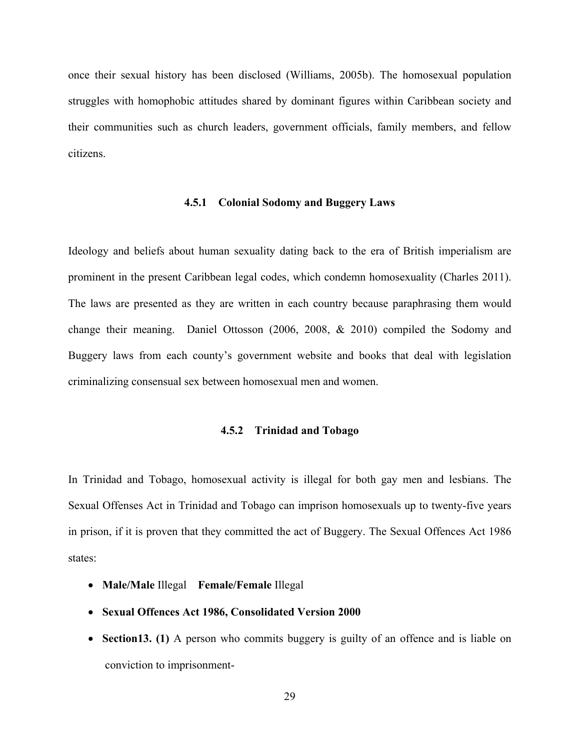once their sexual history has been disclosed (Williams, 2005b). The homosexual population struggles with homophobic attitudes shared by dominant figures within Caribbean society and their communities such as church leaders, government officials, family members, and fellow citizens.

#### **4.5.1 Colonial Sodomy and Buggery Laws**

Ideology and beliefs about human sexuality dating back to the era of British imperialism are prominent in the present Caribbean legal codes, which condemn homosexuality (Charles 2011). The laws are presented as they are written in each country because paraphrasing them would change their meaning. Daniel Ottosson (2006, 2008, & 2010) compiled the Sodomy and Buggery laws from each county's government website and books that deal with legislation criminalizing consensual sex between homosexual men and women.

#### **4.5.2 Trinidad and Tobago**

In Trinidad and Tobago, homosexual activity is illegal for both gay men and lesbians. The Sexual Offenses Act in Trinidad and Tobago can imprison homosexuals up to twenty-five years in prison, if it is proven that they committed the act of Buggery. The Sexual Offences Act 1986 states:

- **Male/Male** Illegal **Female/Female** Illegal
- **Sexual Offences Act 1986, Consolidated Version 2000**
- **Section13. (1)** A person who commits buggery is guilty of an offence and is liable on conviction to imprisonment-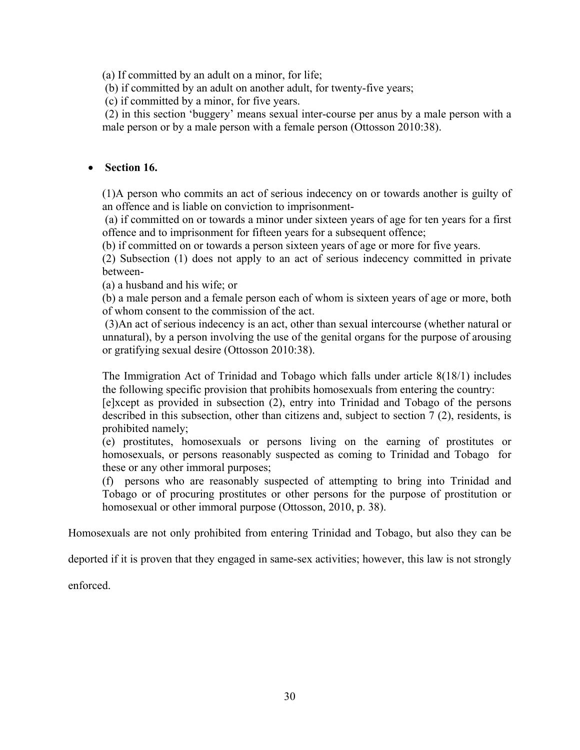(a) If committed by an adult on a minor, for life;

(b) if committed by an adult on another adult, for twenty-five years;

(c) if committed by a minor, for five years.

(2) in this section 'buggery' means sexual inter-course per anus by a male person with a male person or by a male person with a female person (Ottosson 2010:38).

## • **Section 16.**

(1)A person who commits an act of serious indecency on or towards another is guilty of an offence and is liable on conviction to imprisonment-

(a) if committed on or towards a minor under sixteen years of age for ten years for a first offence and to imprisonment for fifteen years for a subsequent offence;

(b) if committed on or towards a person sixteen years of age or more for five years.

(2) Subsection (1) does not apply to an act of serious indecency committed in private between-

(a) a husband and his wife; or

(b) a male person and a female person each of whom is sixteen years of age or more, both of whom consent to the commission of the act.

(3)An act of serious indecency is an act, other than sexual intercourse (whether natural or unnatural), by a person involving the use of the genital organs for the purpose of arousing or gratifying sexual desire (Ottosson 2010:38).

The Immigration Act of Trinidad and Tobago which falls under article 8(18/1) includes the following specific provision that prohibits homosexuals from entering the country:

[e]xcept as provided in subsection (2), entry into Trinidad and Tobago of the persons described in this subsection, other than citizens and, subject to section 7 (2), residents, is prohibited namely;

(e) prostitutes, homosexuals or persons living on the earning of prostitutes or homosexuals, or persons reasonably suspected as coming to Trinidad and Tobago for these or any other immoral purposes;

(f) persons who are reasonably suspected of attempting to bring into Trinidad and Tobago or of procuring prostitutes or other persons for the purpose of prostitution or homosexual or other immoral purpose (Ottosson, 2010, p. 38).

Homosexuals are not only prohibited from entering Trinidad and Tobago, but also they can be

deported if it is proven that they engaged in same-sex activities; however, this law is not strongly

enforced.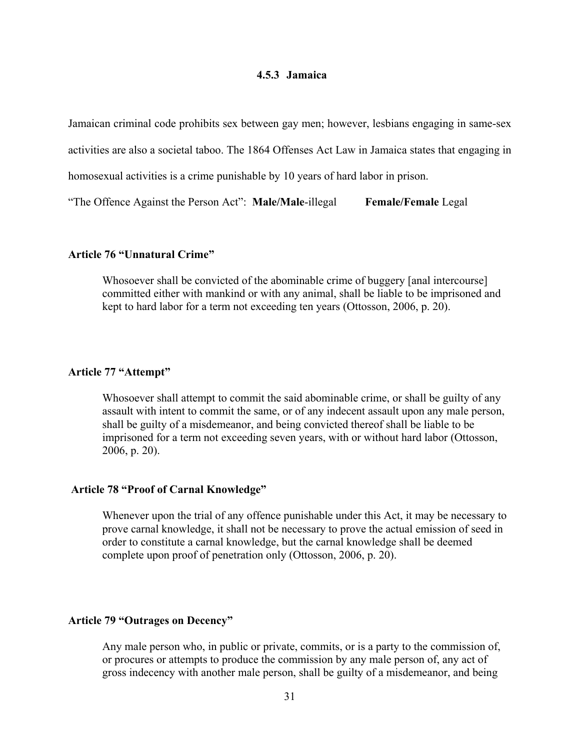#### **4.5.3 Jamaica**

Jamaican criminal code prohibits sex between gay men; however, lesbians engaging in same-sex

activities are also a societal taboo. The 1864 Offenses Act Law in Jamaica states that engaging in

homosexual activities is a crime punishable by 10 years of hard labor in prison.

"The Offence Against the Person Act": **Male/Male**-illegal **Female/Female** Legal

#### **Article 76 "Unnatural Crime"**

Whosoever shall be convicted of the abominable crime of buggery [anal intercourse] committed either with mankind or with any animal, shall be liable to be imprisoned and kept to hard labor for a term not exceeding ten years (Ottosson, 2006, p. 20).

### **Article 77 "Attempt"**

Whosoever shall attempt to commit the said abominable crime, or shall be guilty of any assault with intent to commit the same, or of any indecent assault upon any male person, shall be guilty of a misdemeanor, and being convicted thereof shall be liable to be imprisoned for a term not exceeding seven years, with or without hard labor (Ottosson, 2006, p. 20).

#### **Article 78 "Proof of Carnal Knowledge"**

Whenever upon the trial of any offence punishable under this Act, it may be necessary to prove carnal knowledge, it shall not be necessary to prove the actual emission of seed in order to constitute a carnal knowledge, but the carnal knowledge shall be deemed complete upon proof of penetration only (Ottosson, 2006, p. 20).

## **Article 79 "Outrages on Decency"**

Any male person who, in public or private, commits, or is a party to the commission of, or procures or attempts to produce the commission by any male person of, any act of gross indecency with another male person, shall be guilty of a misdemeanor, and being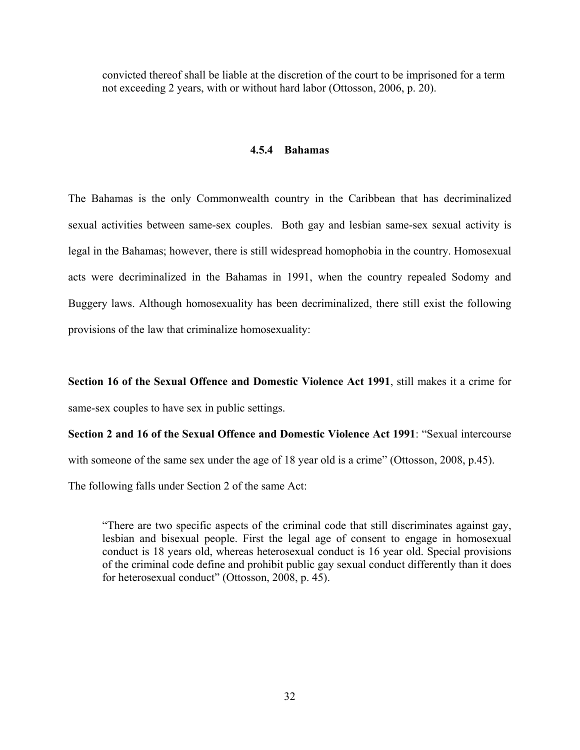convicted thereof shall be liable at the discretion of the court to be imprisoned for a term not exceeding 2 years, with or without hard labor (Ottosson, 2006, p. 20).

#### **4.5.4 Bahamas**

The Bahamas is the only Commonwealth country in the Caribbean that has decriminalized sexual activities between same-sex couples. Both gay and lesbian same-sex sexual activity is legal in the Bahamas; however, there is still widespread homophobia in the country. Homosexual acts were decriminalized in the Bahamas in 1991, when the country repealed Sodomy and Buggery laws. Although homosexuality has been decriminalized, there still exist the following provisions of the law that criminalize homosexuality:

**Section 16 of the Sexual Offence and Domestic Violence Act 1991**, still makes it a crime for same-sex couples to have sex in public settings.

**Section 2 and 16 of the Sexual Offence and Domestic Violence Act 1991**: "Sexual intercourse with someone of the same sex under the age of 18 year old is a crime" (Ottosson, 2008, p.45). The following falls under Section 2 of the same Act:

"There are two specific aspects of the criminal code that still discriminates against gay, lesbian and bisexual people. First the legal age of consent to engage in homosexual conduct is 18 years old, whereas heterosexual conduct is 16 year old. Special provisions of the criminal code define and prohibit public gay sexual conduct differently than it does for heterosexual conduct" (Ottosson, 2008, p. 45).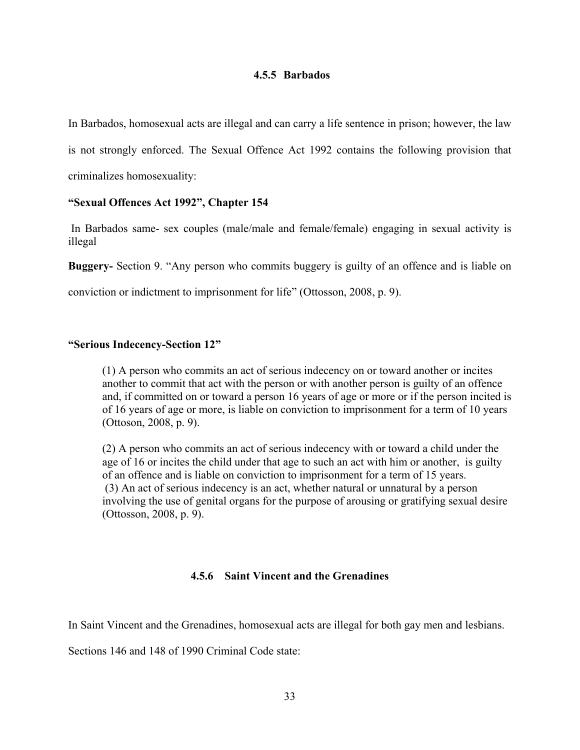#### **4.5.5 Barbados**

In Barbados, homosexual acts are illegal and can carry a life sentence in prison; however, the law

is not strongly enforced. The Sexual Offence Act 1992 contains the following provision that

criminalizes homosexuality:

#### **"Sexual Offences Act 1992", Chapter 154**

In Barbados same- sex couples (male/male and female/female) engaging in sexual activity is illegal

**Buggery-** Section 9. "Any person who commits buggery is guilty of an offence and is liable on

conviction or indictment to imprisonment for life" (Ottosson, 2008, p. 9).

#### **"Serious Indecency-Section 12"**

(1) A person who commits an act of serious indecency on or toward another or incites another to commit that act with the person or with another person is guilty of an offence and, if committed on or toward a person 16 years of age or more or if the person incited is of 16 years of age or more, is liable on conviction to imprisonment for a term of 10 years (Ottoson, 2008, p. 9).

(2) A person who commits an act of serious indecency with or toward a child under the age of 16 or incites the child under that age to such an act with him or another, is guilty of an offence and is liable on conviction to imprisonment for a term of 15 years. (3) An act of serious indecency is an act, whether natural or unnatural by a person involving the use of genital organs for the purpose of arousing or gratifying sexual desire (Ottosson, 2008, p. 9).

## **4.5.6 Saint Vincent and the Grenadines**

In Saint Vincent and the Grenadines, homosexual acts are illegal for both gay men and lesbians.

Sections 146 and 148 of 1990 Criminal Code state: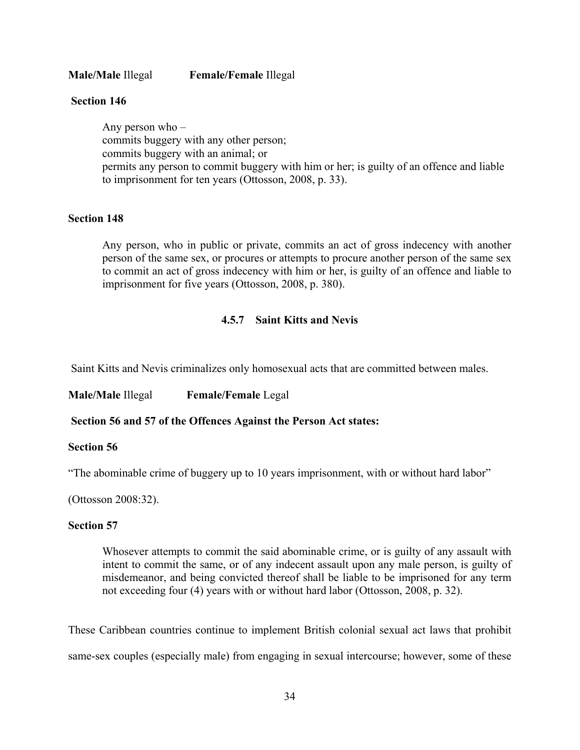**Male/Male** Illegal **Female/Female** Illegal

### **Section 146**

Any person who – commits buggery with any other person; commits buggery with an animal; or permits any person to commit buggery with him or her; is guilty of an offence and liable to imprisonment for ten years (Ottosson, 2008, p. 33).

### **Section 148**

Any person, who in public or private, commits an act of gross indecency with another person of the same sex, or procures or attempts to procure another person of the same sex to commit an act of gross indecency with him or her, is guilty of an offence and liable to imprisonment for five years (Ottosson, 2008, p. 380).

## **4.5.7 Saint Kitts and Nevis**

Saint Kitts and Nevis criminalizes only homosexual acts that are committed between males.

**Male/Male** Illegal **Female/Female** Legal

**Section 56 and 57 of the Offences Against the Person Act states:** 

#### **Section 56**

"The abominable crime of buggery up to 10 years imprisonment, with or without hard labor"

(Ottosson 2008:32).

#### **Section 57**

Whosever attempts to commit the said abominable crime, or is guilty of any assault with intent to commit the same, or of any indecent assault upon any male person, is guilty of misdemeanor, and being convicted thereof shall be liable to be imprisoned for any term not exceeding four (4) years with or without hard labor (Ottosson, 2008, p. 32).

These Caribbean countries continue to implement British colonial sexual act laws that prohibit same-sex couples (especially male) from engaging in sexual intercourse; however, some of these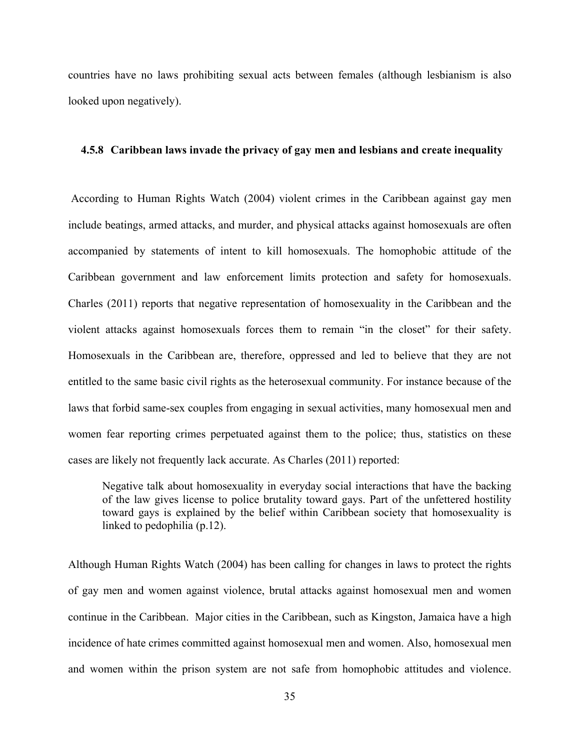countries have no laws prohibiting sexual acts between females (although lesbianism is also looked upon negatively).

#### **4.5.8 Caribbean laws invade the privacy of gay men and lesbians and create inequality**

According to Human Rights Watch (2004) violent crimes in the Caribbean against gay men include beatings, armed attacks, and murder, and physical attacks against homosexuals are often accompanied by statements of intent to kill homosexuals. The homophobic attitude of the Caribbean government and law enforcement limits protection and safety for homosexuals. Charles (2011) reports that negative representation of homosexuality in the Caribbean and the violent attacks against homosexuals forces them to remain "in the closet" for their safety. Homosexuals in the Caribbean are, therefore, oppressed and led to believe that they are not entitled to the same basic civil rights as the heterosexual community. For instance because of the laws that forbid same-sex couples from engaging in sexual activities, many homosexual men and women fear reporting crimes perpetuated against them to the police; thus, statistics on these cases are likely not frequently lack accurate. As Charles (2011) reported:

Negative talk about homosexuality in everyday social interactions that have the backing of the law gives license to police brutality toward gays. Part of the unfettered hostility toward gays is explained by the belief within Caribbean society that homosexuality is linked to pedophilia (p.12).

Although Human Rights Watch (2004) has been calling for changes in laws to protect the rights of gay men and women against violence, brutal attacks against homosexual men and women continue in the Caribbean. Major cities in the Caribbean, such as Kingston, Jamaica have a high incidence of hate crimes committed against homosexual men and women. Also, homosexual men and women within the prison system are not safe from homophobic attitudes and violence.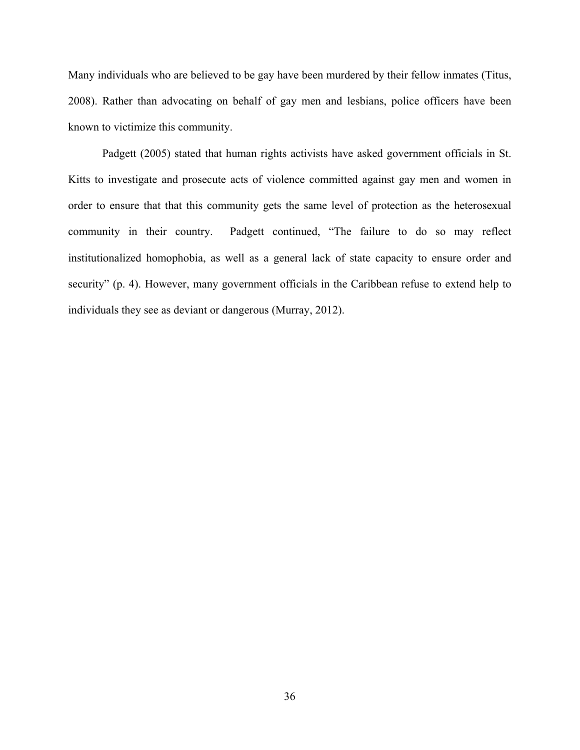Many individuals who are believed to be gay have been murdered by their fellow inmates (Titus, 2008). Rather than advocating on behalf of gay men and lesbians, police officers have been known to victimize this community.

Padgett (2005) stated that human rights activists have asked government officials in St. Kitts to investigate and prosecute acts of violence committed against gay men and women in order to ensure that that this community gets the same level of protection as the heterosexual community in their country. Padgett continued, "The failure to do so may reflect institutionalized homophobia, as well as a general lack of state capacity to ensure order and security" (p. 4). However, many government officials in the Caribbean refuse to extend help to individuals they see as deviant or dangerous (Murray, 2012).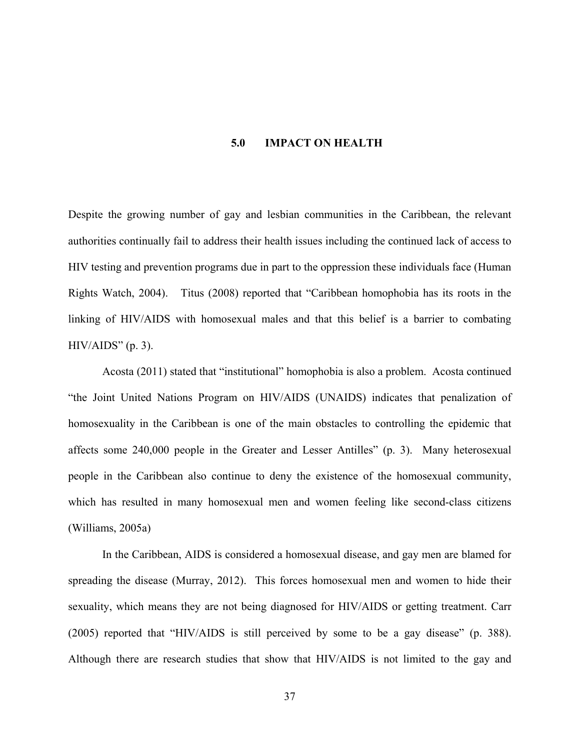#### **5.0 IMPACT ON HEALTH**

Despite the growing number of gay and lesbian communities in the Caribbean, the relevant authorities continually fail to address their health issues including the continued lack of access to HIV testing and prevention programs due in part to the oppression these individuals face (Human Rights Watch, 2004). Titus (2008) reported that "Caribbean homophobia has its roots in the linking of HIV/AIDS with homosexual males and that this belief is a barrier to combating  $HIV/AIDS"$  (p. 3).

Acosta (2011) stated that "institutional" homophobia is also a problem. Acosta continued "the Joint United Nations Program on HIV/AIDS (UNAIDS) indicates that penalization of homosexuality in the Caribbean is one of the main obstacles to controlling the epidemic that affects some 240,000 people in the Greater and Lesser Antilles" (p. 3). Many heterosexual people in the Caribbean also continue to deny the existence of the homosexual community, which has resulted in many homosexual men and women feeling like second-class citizens (Williams, 2005a)

In the Caribbean, AIDS is considered a homosexual disease, and gay men are blamed for spreading the disease (Murray, 2012). This forces homosexual men and women to hide their sexuality, which means they are not being diagnosed for HIV/AIDS or getting treatment. Carr (2005) reported that "HIV/AIDS is still perceived by some to be a gay disease" (p. 388). Although there are research studies that show that HIV/AIDS is not limited to the gay and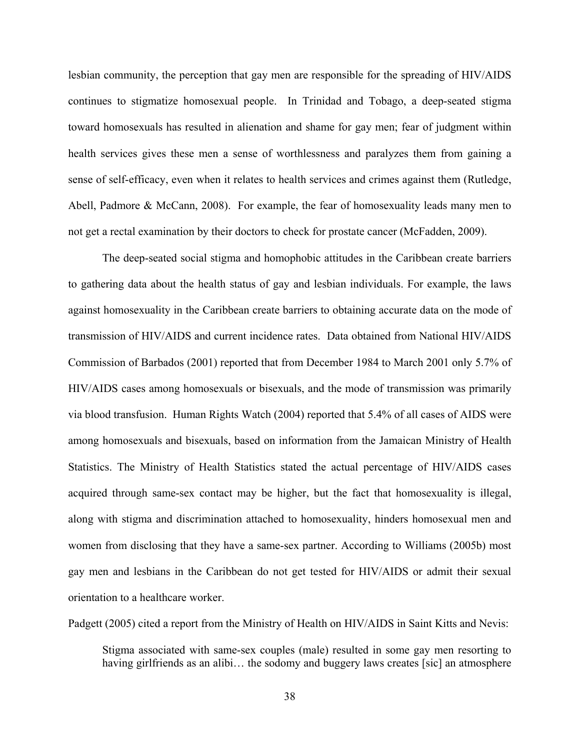lesbian community, the perception that gay men are responsible for the spreading of HIV/AIDS continues to stigmatize homosexual people. In Trinidad and Tobago, a deep-seated stigma toward homosexuals has resulted in alienation and shame for gay men; fear of judgment within health services gives these men a sense of worthlessness and paralyzes them from gaining a sense of self-efficacy, even when it relates to health services and crimes against them (Rutledge, Abell, Padmore & McCann, 2008). For example, the fear of homosexuality leads many men to not get a rectal examination by their doctors to check for prostate cancer (McFadden, 2009).

The deep-seated social stigma and homophobic attitudes in the Caribbean create barriers to gathering data about the health status of gay and lesbian individuals. For example, the laws against homosexuality in the Caribbean create barriers to obtaining accurate data on the mode of transmission of HIV/AIDS and current incidence rates. Data obtained from National HIV/AIDS Commission of Barbados (2001) reported that from December 1984 to March 2001 only 5.7% of HIV/AIDS cases among homosexuals or bisexuals, and the mode of transmission was primarily via blood transfusion. Human Rights Watch (2004) reported that 5.4% of all cases of AIDS were among homosexuals and bisexuals, based on information from the Jamaican Ministry of Health Statistics. The Ministry of Health Statistics stated the actual percentage of HIV/AIDS cases acquired through same-sex contact may be higher, but the fact that homosexuality is illegal, along with stigma and discrimination attached to homosexuality, hinders homosexual men and women from disclosing that they have a same-sex partner. According to Williams (2005b) most gay men and lesbians in the Caribbean do not get tested for HIV/AIDS or admit their sexual orientation to a healthcare worker.

Padgett (2005) cited a report from the Ministry of Health on HIV/AIDS in Saint Kitts and Nevis:

Stigma associated with same-sex couples (male) resulted in some gay men resorting to having girlfriends as an alibi... the sodomy and buggery laws creates [sic] an atmosphere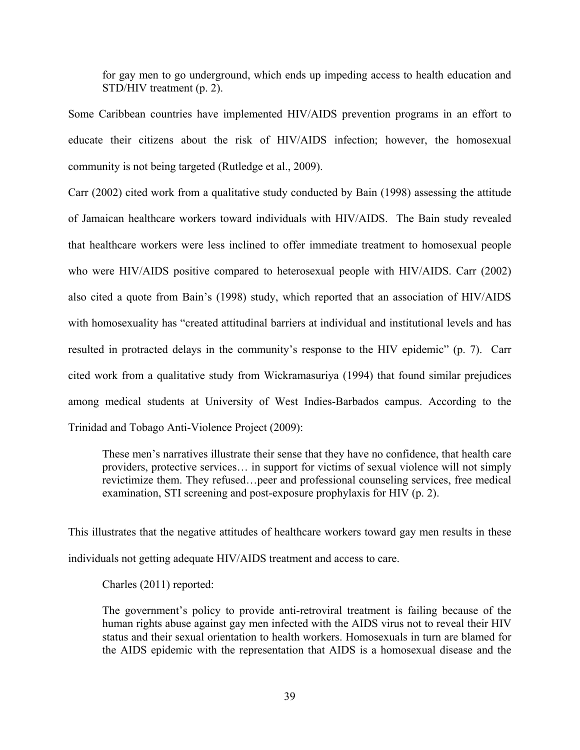for gay men to go underground, which ends up impeding access to health education and STD/HIV treatment (p. 2).

Some Caribbean countries have implemented HIV/AIDS prevention programs in an effort to educate their citizens about the risk of HIV/AIDS infection; however, the homosexual community is not being targeted (Rutledge et al., 2009).

Carr (2002) cited work from a qualitative study conducted by Bain (1998) assessing the attitude of Jamaican healthcare workers toward individuals with HIV/AIDS. The Bain study revealed that healthcare workers were less inclined to offer immediate treatment to homosexual people who were HIV/AIDS positive compared to heterosexual people with HIV/AIDS. Carr (2002) also cited a quote from Bain's (1998) study, which reported that an association of HIV/AIDS with homosexuality has "created attitudinal barriers at individual and institutional levels and has resulted in protracted delays in the community's response to the HIV epidemic" (p. 7). Carr cited work from a qualitative study from Wickramasuriya (1994) that found similar prejudices among medical students at University of West Indies-Barbados campus. According to the Trinidad and Tobago Anti-Violence Project (2009):

These men's narratives illustrate their sense that they have no confidence, that health care providers, protective services… in support for victims of sexual violence will not simply revictimize them. They refused…peer and professional counseling services, free medical examination, STI screening and post-exposure prophylaxis for HIV (p. 2).

This illustrates that the negative attitudes of healthcare workers toward gay men results in these individuals not getting adequate HIV/AIDS treatment and access to care.

Charles (2011) reported:

The government's policy to provide anti-retroviral treatment is failing because of the human rights abuse against gay men infected with the AIDS virus not to reveal their HIV status and their sexual orientation to health workers. Homosexuals in turn are blamed for the AIDS epidemic with the representation that AIDS is a homosexual disease and the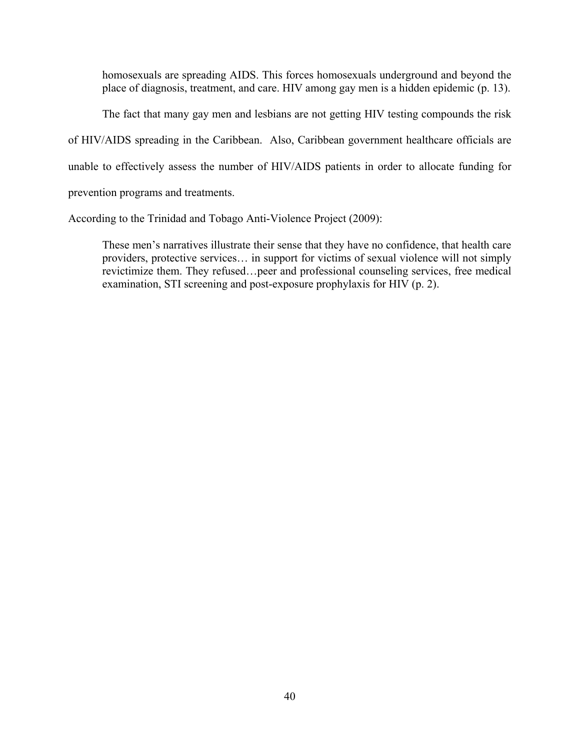homosexuals are spreading AIDS. This forces homosexuals underground and beyond the place of diagnosis, treatment, and care. HIV among gay men is a hidden epidemic (p. 13).

The fact that many gay men and lesbians are not getting HIV testing compounds the risk of HIV/AIDS spreading in the Caribbean. Also, Caribbean government healthcare officials are unable to effectively assess the number of HIV/AIDS patients in order to allocate funding for prevention programs and treatments.

According to the Trinidad and Tobago Anti-Violence Project (2009):

These men's narratives illustrate their sense that they have no confidence, that health care providers, protective services… in support for victims of sexual violence will not simply revictimize them. They refused…peer and professional counseling services, free medical examination, STI screening and post-exposure prophylaxis for HIV (p. 2).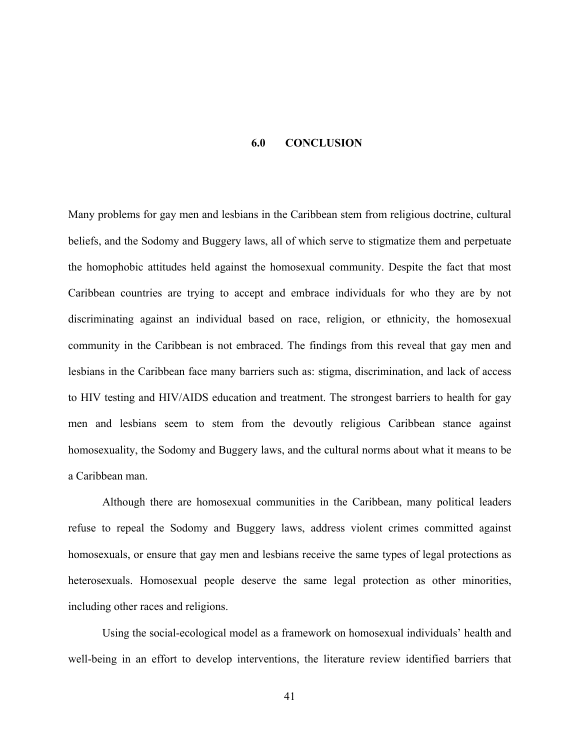#### **6.0 CONCLUSION**

Many problems for gay men and lesbians in the Caribbean stem from religious doctrine, cultural beliefs, and the Sodomy and Buggery laws, all of which serve to stigmatize them and perpetuate the homophobic attitudes held against the homosexual community. Despite the fact that most Caribbean countries are trying to accept and embrace individuals for who they are by not discriminating against an individual based on race, religion, or ethnicity, the homosexual community in the Caribbean is not embraced. The findings from this reveal that gay men and lesbians in the Caribbean face many barriers such as: stigma, discrimination, and lack of access to HIV testing and HIV/AIDS education and treatment. The strongest barriers to health for gay men and lesbians seem to stem from the devoutly religious Caribbean stance against homosexuality, the Sodomy and Buggery laws, and the cultural norms about what it means to be a Caribbean man.

Although there are homosexual communities in the Caribbean, many political leaders refuse to repeal the Sodomy and Buggery laws, address violent crimes committed against homosexuals, or ensure that gay men and lesbians receive the same types of legal protections as heterosexuals. Homosexual people deserve the same legal protection as other minorities, including other races and religions.

Using the social-ecological model as a framework on homosexual individuals' health and well-being in an effort to develop interventions, the literature review identified barriers that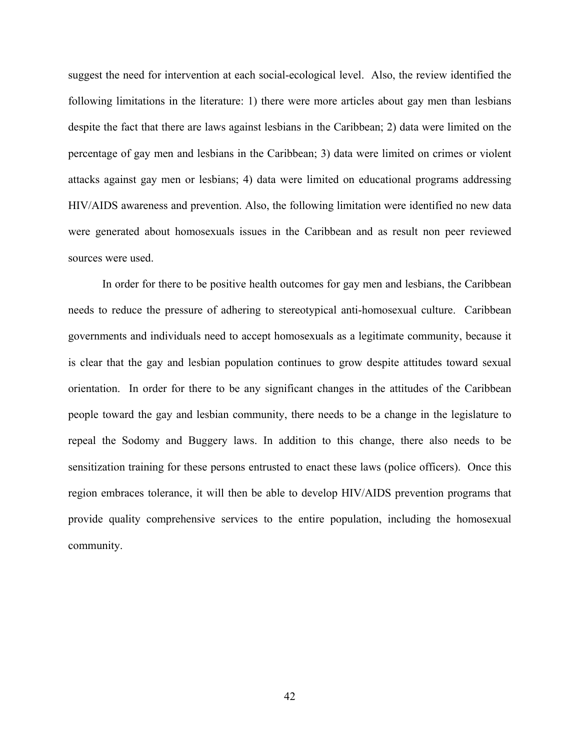suggest the need for intervention at each social-ecological level. Also, the review identified the following limitations in the literature: 1) there were more articles about gay men than lesbians despite the fact that there are laws against lesbians in the Caribbean; 2) data were limited on the percentage of gay men and lesbians in the Caribbean; 3) data were limited on crimes or violent attacks against gay men or lesbians; 4) data were limited on educational programs addressing HIV/AIDS awareness and prevention. Also, the following limitation were identified no new data were generated about homosexuals issues in the Caribbean and as result non peer reviewed sources were used.

In order for there to be positive health outcomes for gay men and lesbians, the Caribbean needs to reduce the pressure of adhering to stereotypical anti-homosexual culture. Caribbean governments and individuals need to accept homosexuals as a legitimate community, because it is clear that the gay and lesbian population continues to grow despite attitudes toward sexual orientation. In order for there to be any significant changes in the attitudes of the Caribbean people toward the gay and lesbian community, there needs to be a change in the legislature to repeal the Sodomy and Buggery laws. In addition to this change, there also needs to be sensitization training for these persons entrusted to enact these laws (police officers). Once this region embraces tolerance, it will then be able to develop HIV/AIDS prevention programs that provide quality comprehensive services to the entire population, including the homosexual community.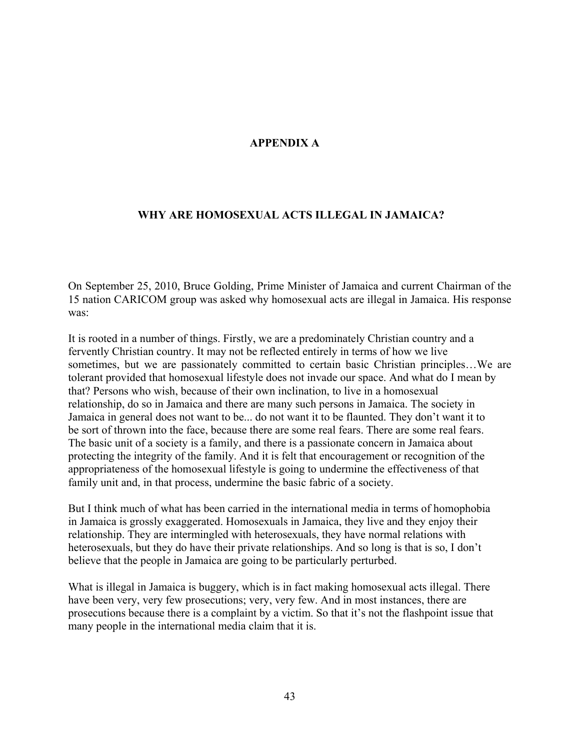## **APPENDIX A**

## **WHY ARE HOMOSEXUAL ACTS ILLEGAL IN JAMAICA?**

On September 25, 2010, Bruce Golding, Prime Minister of Jamaica and current Chairman of the 15 nation CARICOM group was asked why homosexual acts are illegal in Jamaica. His response was:

It is rooted in a number of things. Firstly, we are a predominately Christian country and a fervently Christian country. It may not be reflected entirely in terms of how we live sometimes, but we are passionately committed to certain basic Christian principles…We are tolerant provided that homosexual lifestyle does not invade our space. And what do I mean by that? Persons who wish, because of their own inclination, to live in a homosexual relationship, do so in Jamaica and there are many such persons in Jamaica. The society in Jamaica in general does not want to be... do not want it to be flaunted. They don't want it to be sort of thrown into the face, because there are some real fears. There are some real fears. The basic unit of a society is a family, and there is a passionate concern in Jamaica about protecting the integrity of the family. And it is felt that encouragement or recognition of the appropriateness of the homosexual lifestyle is going to undermine the effectiveness of that family unit and, in that process, undermine the basic fabric of a society.

But I think much of what has been carried in the international media in terms of homophobia in Jamaica is grossly exaggerated. Homosexuals in Jamaica, they live and they enjoy their relationship. They are intermingled with heterosexuals, they have normal relations with heterosexuals, but they do have their private relationships. And so long is that is so, I don't believe that the people in Jamaica are going to be particularly perturbed.

What is illegal in Jamaica is buggery, which is in fact making homosexual acts illegal. There have been very, very few prosecutions; very, very few. And in most instances, there are prosecutions because there is a complaint by a victim. So that it's not the flashpoint issue that many people in the international media claim that it is.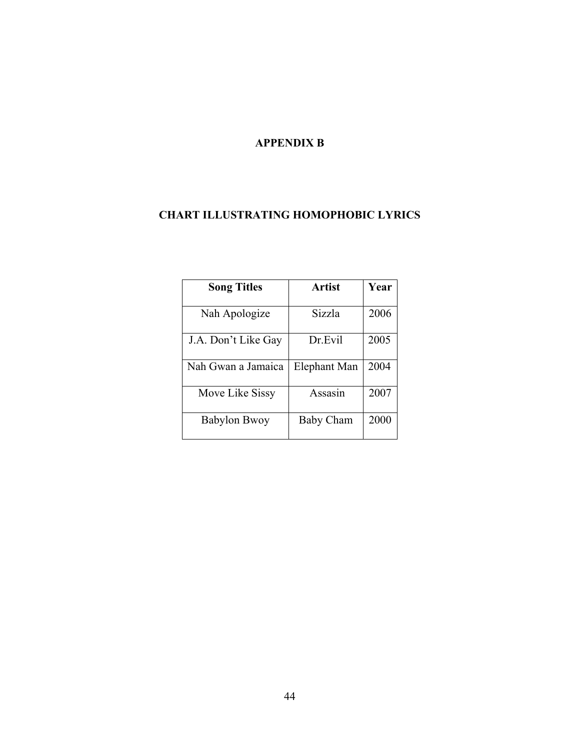## **APPENDIX B**

## **CHART ILLUSTRATING HOMOPHOBIC LYRICS**

| <b>Song Titles</b>  | Artist           | Year |
|---------------------|------------------|------|
|                     |                  |      |
| Nah Apologize       | Sizzla           | 2006 |
|                     |                  |      |
| J.A. Don't Like Gay | Dr.Evil          | 2005 |
|                     |                  |      |
| Nah Gwan a Jamaica  | Elephant Man     | 2004 |
| Move Like Sissy     | Assasin          | 2007 |
| <b>Babylon Bwoy</b> | <b>Baby Cham</b> | 2000 |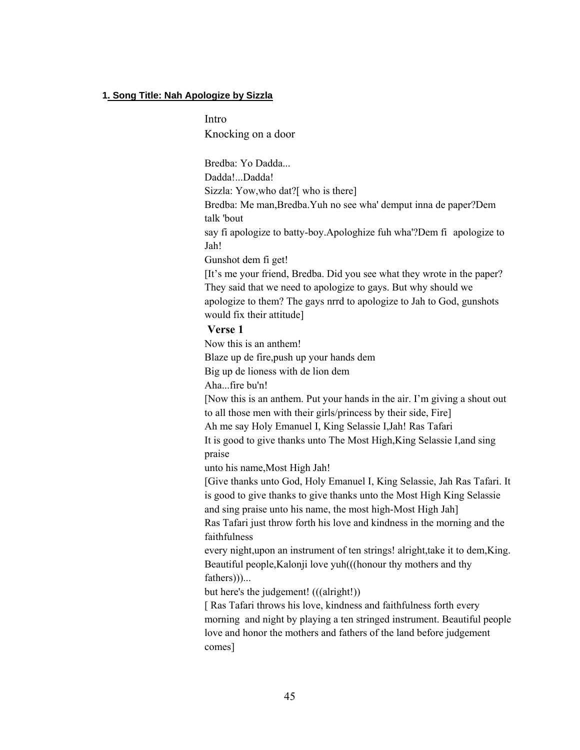#### **1. Song Title: Nah Apologize by Sizzla**

Intro Knocking on a door

Bredba: Yo Dadda... Dadda!...Dadda! Sizzla: Yow,who dat?[ who is there] Bredba: Me man,Bredba.Yuh no see wha' demput inna de paper?Dem talk 'bout say fi apologize to batty-boy.Apologhize fuh wha'?Dem fi apologize to Jah! Gunshot dem fi get! [It's me your friend, Bredba. Did you see what they wrote in the paper? They said that we need to apologize to gays. But why should we apologize to them? The gays nrrd to apologize to Jah to God, gunshots would fix their attitude]

#### **Verse 1**

Now this is an anthem!

Blaze up de fire,push up your hands dem

Big up de lioness with de lion dem

Aha...fire bu'n!

[Now this is an anthem. Put your hands in the air. I'm giving a shout out to all those men with their girls/princess by their side, Fire] Ah me say Holy Emanuel I, King Selassie I,Jah! Ras Tafari

It is good to give thanks unto The Most High,King Selassie I,and sing praise

unto his name,Most High Jah!

[Give thanks unto God, Holy Emanuel I, King Selassie, Jah Ras Tafari. It is good to give thanks to give thanks unto the Most High King Selassie and sing praise unto his name, the most high-Most High Jah] Ras Tafari just throw forth his love and kindness in the morning and the

faithfulness

every night,upon an instrument of ten strings! alright,take it to dem,King. Beautiful people,Kalonji love yuh(((honour thy mothers and thy fathers)))...

but here's the judgement! (((alright!))

[ Ras Tafari throws his love, kindness and faithfulness forth every morning and night by playing a ten stringed instrument. Beautiful people love and honor the mothers and fathers of the land before judgement comes]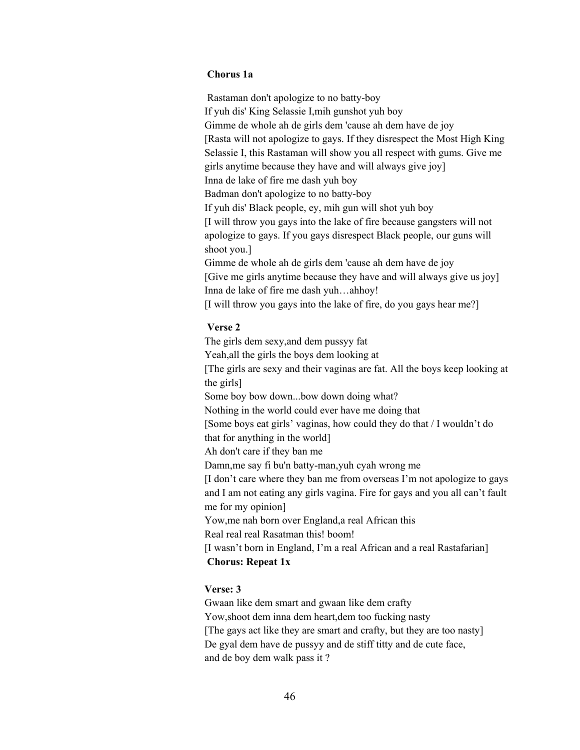#### **Chorus 1a**

Rastaman don't apologize to no batty-boy If yuh dis' King Selassie I,mih gunshot yuh boy Gimme de whole ah de girls dem 'cause ah dem have de joy [Rasta will not apologize to gays. If they disrespect the Most High King Selassie I, this Rastaman will show you all respect with gums. Give me girls anytime because they have and will always give joy] Inna de lake of fire me dash yuh boy Badman don't apologize to no batty-boy If yuh dis' Black people, ey, mih gun will shot yuh boy [I will throw you gays into the lake of fire because gangsters will not apologize to gays. If you gays disrespect Black people, our guns will shoot you.] Gimme de whole ah de girls dem 'cause ah dem have de joy [Give me girls anytime because they have and will always give us joy] Inna de lake of fire me dash yuh…ahhoy! [I will throw you gays into the lake of fire, do you gays hear me?]

## **Verse 2**

The girls dem sexy,and dem pussyy fat Yeah,all the girls the boys dem looking at [The girls are sexy and their vaginas are fat. All the boys keep looking at the girls] Some boy bow down...bow down doing what? Nothing in the world could ever have me doing that [Some boys eat girls' vaginas, how could they do that / I wouldn't do that for anything in the world] Ah don't care if they ban me Damn,me say fi bu'n batty-man,yuh cyah wrong me [I don't care where they ban me from overseas I'm not apologize to gays and I am not eating any girls vagina. Fire for gays and you all can't fault me for my opinion] Yow,me nah born over England,a real African this Real real real Rasatman this! boom! [I wasn't born in England, I'm a real African and a real Rastafarian] **Chorus: Repeat 1x**

#### **Verse: 3**

Gwaan like dem smart and gwaan like dem crafty Yow,shoot dem inna dem heart,dem too fucking nasty [The gays act like they are smart and crafty, but they are too nasty] De gyal dem have de pussyy and de stiff titty and de cute face, and de boy dem walk pass it ?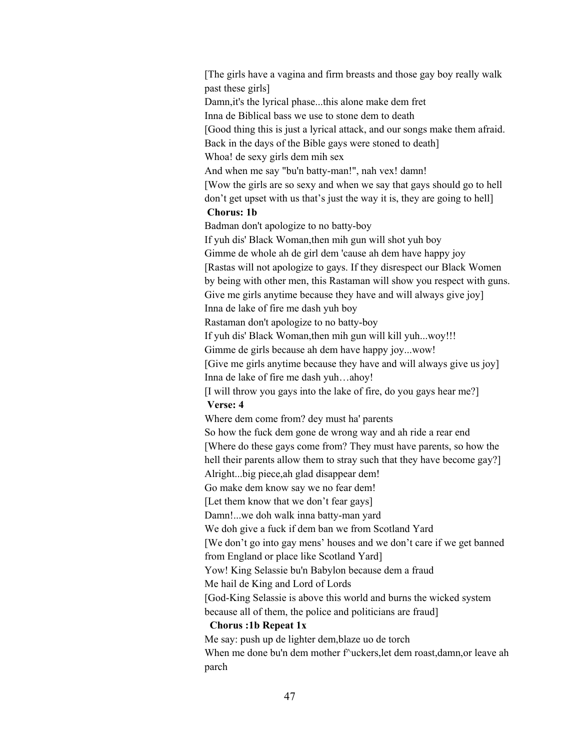[The girls have a vagina and firm breasts and those gay boy really walk past these girls] Damn,it's the lyrical phase...this alone make dem fret Inna de Biblical bass we use to stone dem to death [Good thing this is just a lyrical attack, and our songs make them afraid. Back in the days of the Bible gays were stoned to death] Whoa! de sexy girls dem mih sex And when me say "bu'n batty-man!", nah vex! damn! [Wow the girls are so sexy and when we say that gays should go to hell don't get upset with us that's just the way it is, they are going to hell] **Chorus: 1b** Badman don't apologize to no batty-boy If yuh dis' Black Woman,then mih gun will shot yuh boy Gimme de whole ah de girl dem 'cause ah dem have happy joy [Rastas will not apologize to gays. If they disrespect our Black Women by being with other men, this Rastaman will show you respect with guns. Give me girls anytime because they have and will always give joy] Inna de lake of fire me dash yuh boy Rastaman don't apologize to no batty-boy If yuh dis' Black Woman,then mih gun will kill yuh...woy!!! Gimme de girls because ah dem have happy joy...wow! [Give me girls anytime because they have and will always give us joy] Inna de lake of fire me dash yuh…ahoy! [I will throw you gays into the lake of fire, do you gays hear me?] **Verse: 4** Where dem come from? dey must ha' parents So how the fuck dem gone de wrong way and ah ride a rear end [Where do these gays come from? They must have parents, so how the hell their parents allow them to stray such that they have become gay? Alright...big piece,ah glad disappear dem! Go make dem know say we no fear dem! [Let them know that we don't fear gays] Damn!...we doh walk inna batty-man yard We doh give a fuck if dem ban we from Scotland Yard [We don't go into gay mens' houses and we don't care if we get banned from England or place like Scotland Yard] Yow! King Selassie bu'n Babylon because dem a fraud Me hail de King and Lord of Lords [God-King Selassie is above this world and burns the wicked system because all of them, the police and politicians are fraud] **Chorus :1b Repeat 1x** Me say: push up de lighter dem,blaze uo de torch When me done bu'n dem mother f<sup>^</sup>uckers, let dem roast,damn, or leave ah parch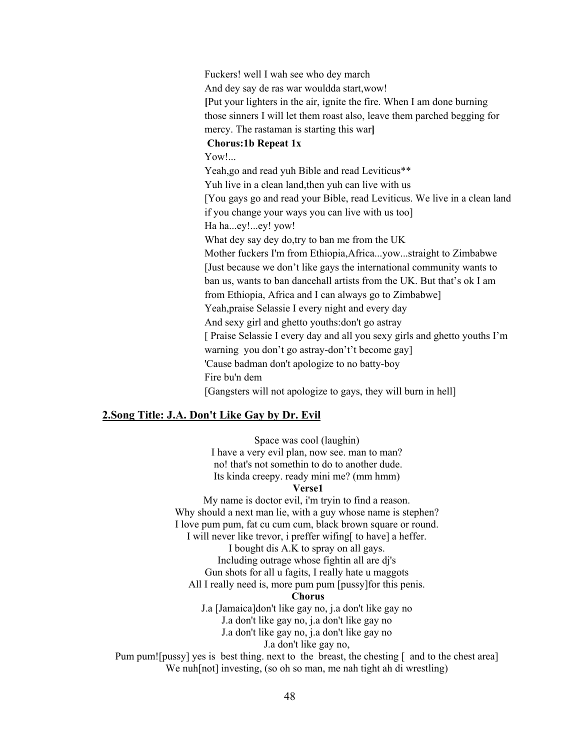Fuckers! well I wah see who dey march And dey say de ras war wouldda start,wow! **[**Put your lighters in the air, ignite the fire. When I am done burning those sinners I will let them roast also, leave them parched begging for mercy. The rastaman is starting this war**] Chorus:1b Repeat 1x** Yow!... Yeah,go and read yuh Bible and read Leviticus\*\* Yuh live in a clean land,then yuh can live with us [You gays go and read your Bible, read Leviticus. We live in a clean land if you change your ways you can live with us too] Ha ha...ey!...ey! yow! What dey say dey do,try to ban me from the UK Mother fuckers I'm from Ethiopia,Africa...yow...straight to Zimbabwe [Just because we don't like gays the international community wants to ban us, wants to ban dancehall artists from the UK. But that's ok I am from Ethiopia, Africa and I can always go to Zimbabwe] Yeah,praise Selassie I every night and every day And sexy girl and ghetto youths:don't go astray [ Praise Selassie I every day and all you sexy girls and ghetto youths I'm warning you don't go astray-don't't become gay] 'Cause badman don't apologize to no batty-boy Fire bu'n dem [Gangsters will not apologize to gays, they will burn in hell]

#### **2.Song Title: J.A. Don't Like Gay by Dr. Evil**

Space was cool (laughin) I have a very evil plan, now see. man to man? no! that's not somethin to do to another dude. Its kinda creepy. ready mini me? (mm hmm) **Verse1** My name is doctor evil, i'm tryin to find a reason. Why should a next man lie, with a guy whose name is stephen? I love pum pum, fat cu cum cum, black brown square or round. I will never like trevor, i preffer wifing[ to have] a heffer. I bought dis A.K to spray on all gays. Including outrage whose fightin all are dj's Gun shots for all u fagits, I really hate u maggots All I really need is, more pum pum [pussy]for this penis. **Chorus** J.a [Jamaica]don't like gay no, j.a don't like gay no J.a don't like gay no, j.a don't like gay no J.a don't like gay no, j.a don't like gay no J.a don't like gay no, Pum pum![pussy] yes is best thing. next to the breast, the chesting [ and to the chest area] We nuh[not] investing, (so oh so man, me nah tight ah di wrestling)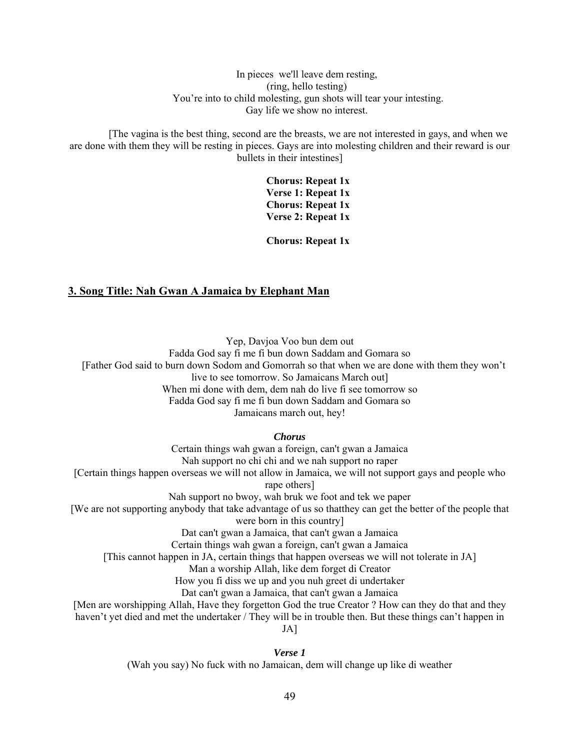#### In pieces we'll leave dem resting, (ring, hello testing) You're into to child molesting, gun shots will tear your intesting. Gay life we show no interest.

[The vagina is the best thing, second are the breasts, we are not interested in gays, and when we are done with them they will be resting in pieces. Gays are into molesting children and their reward is our bullets in their intestines]

> **Chorus: Repeat 1x Verse 1: Repeat 1x Chorus: Repeat 1x Verse 2: Repeat 1x**

> **Chorus: Repeat 1x**

#### **3. Song Title: Nah Gwan A Jamaica by Elephant Man**

Yep, Davjoa Voo bun dem out Fadda God say fi me fi bun down Saddam and Gomara so [Father God said to burn down Sodom and Gomorrah so that when we are done with them they won't live to see tomorrow. So Jamaicans March out] When mi done with dem, dem nah do live fi see tomorrow so Fadda God say fi me fi bun down Saddam and Gomara so Jamaicans march out, hey!

*Chorus*

Certain things wah gwan a foreign, can't gwan a Jamaica Nah support no chi chi and we nah support no raper [Certain things happen overseas we will not allow in Jamaica, we will not support gays and people who rape others] Nah support no bwoy, wah bruk we foot and tek we paper [We are not supporting anybody that take advantage of us so thatthey can get the better of the people that

were born in this country]

Dat can't gwan a Jamaica, that can't gwan a Jamaica

Certain things wah gwan a foreign, can't gwan a Jamaica

[This cannot happen in JA, certain things that happen overseas we will not tolerate in JA]

Man a worship Allah, like dem forget di Creator

How you fi diss we up and you nuh greet di undertaker

Dat can't gwan a Jamaica, that can't gwan a Jamaica

[Men are worshipping Allah, Have they forgetton God the true Creator ? How can they do that and they

haven't yet died and met the undertaker / They will be in trouble then. But these things can't happen in

JA]

*Verse 1*

(Wah you say) No fuck with no Jamaican, dem will change up like di weather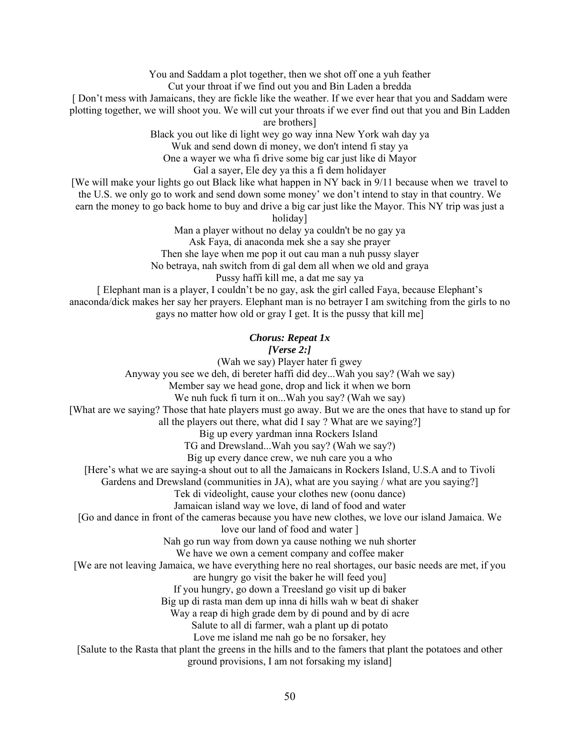You and Saddam a plot together, then we shot off one a yuh feather Cut your throat if we find out you and Bin Laden a bredda

[ Don't mess with Jamaicans, they are fickle like the weather. If we ever hear that you and Saddam were plotting together, we will shoot you. We will cut your throats if we ever find out that you and Bin Ladden

are brothers]

Black you out like di light wey go way inna New York wah day ya

Wuk and send down di money, we don't intend fi stay ya

One a wayer we wha fi drive some big car just like di Mayor

Gal a sayer, Ele dey ya this a fi dem holidayer

[We will make your lights go out Black like what happen in NY back in 9/11 because when we travel to the U.S. we only go to work and send down some money' we don't intend to stay in that country. We earn the money to go back home to buy and drive a big car just like the Mayor. This NY trip was just a

holiday]

Man a player without no delay ya couldn't be no gay ya Ask Faya, di anaconda mek she a say she prayer Then she laye when me pop it out cau man a nuh pussy slayer No betraya, nah switch from di gal dem all when we old and graya Pussy haffi kill me, a dat me say ya

[ Elephant man is a player, I couldn't be no gay, ask the girl called Faya, because Elephant's anaconda/dick makes her say her prayers. Elephant man is no betrayer I am switching from the girls to no gays no matter how old or gray I get. It is the pussy that kill me]

## *Chorus: Repeat 1x*

#### *[Verse 2:]*

(Wah we say) Player hater fi gwey Anyway you see we deh, di bereter haffi did dey...Wah you say? (Wah we say) Member say we head gone, drop and lick it when we born We nuh fuck fi turn it on...Wah you say? (Wah we say) [What are we saying? Those that hate players must go away. But we are the ones that have to stand up for all the players out there, what did I say ? What are we saying?] Big up every yardman inna Rockers Island TG and Drewsland...Wah you say? (Wah we say?) Big up every dance crew, we nuh care you a who [Here's what we are saying-a shout out to all the Jamaicans in Rockers Island, U.S.A and to Tivoli Gardens and Drewsland (communities in JA), what are you saying / what are you saying? Tek di videolight, cause your clothes new (oonu dance) Jamaican island way we love, di land of food and water [Go and dance in front of the cameras because you have new clothes, we love our island Jamaica. We love our land of food and water ] Nah go run way from down ya cause nothing we nuh shorter We have we own a cement company and coffee maker [We are not leaving Jamaica, we have everything here no real shortages, our basic needs are met, if you are hungry go visit the baker he will feed you] If you hungry, go down a Treesland go visit up di baker Big up di rasta man dem up inna di hills wah w beat di shaker Way a reap di high grade dem by di pound and by di acre Salute to all di farmer, wah a plant up di potato Love me island me nah go be no forsaker, hey [Salute to the Rasta that plant the greens in the hills and to the famers that plant the potatoes and other

ground provisions, I am not forsaking my island]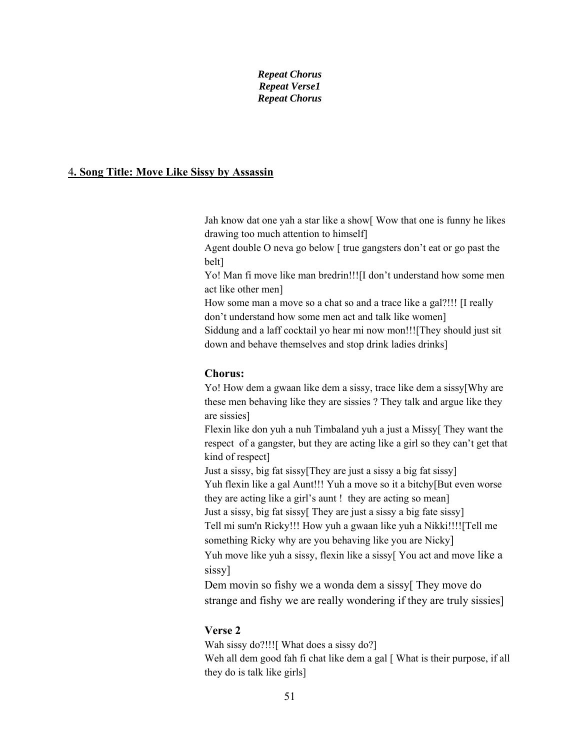#### *Repeat Chorus Repeat Verse1 Repeat Chorus*

#### 4**. Song Title: Move Like Sissy by Assassin**

Jah know dat one yah a star like a show[ Wow that one is funny he likes drawing too much attention to himself]

Agent double O neva go below [ true gangsters don't eat or go past the belt]

Yo! Man fi move like man bredrin!!![I don't understand how some men act like other men]

How some man a move so a chat so and a trace like a gal?!!! [I really don't understand how some men act and talk like women]

Siddung and a laff cocktail yo hear mi now mon!!![They should just sit down and behave themselves and stop drink ladies drinks]

### **Chorus:**

Yo! How dem a gwaan like dem a sissy, trace like dem a sissy[Why are these men behaving like they are sissies ? They talk and argue like they are sissies]

Flexin like don yuh a nuh Timbaland yuh a just a Missy[ They want the respect of a gangster, but they are acting like a girl so they can't get that kind of respect]

Just a sissy, big fat sissy[They are just a sissy a big fat sissy] Yuh flexin like a gal Aunt!!! Yuh a move so it a bitchy[But even worse they are acting like a girl's aunt ! they are acting so mean] Just a sissy, big fat sissy[ They are just a sissy a big fate sissy]

Tell mi sum'n Ricky!!! How yuh a gwaan like yuh a Nikki!!!![Tell me something Ricky why are you behaving like you are Nicky]

Yuh move like yuh a sissy, flexin like a sissy[ You act and move like a sissy]

Dem movin so fishy we a wonda dem a sissyl They move do strange and fishy we are really wondering if they are truly sissies]

## **Verse 2**

Wah sissy do?!!![ What does a sissy do?] Weh all dem good fah fi chat like dem a gal [ What is their purpose, if all they do is talk like girls]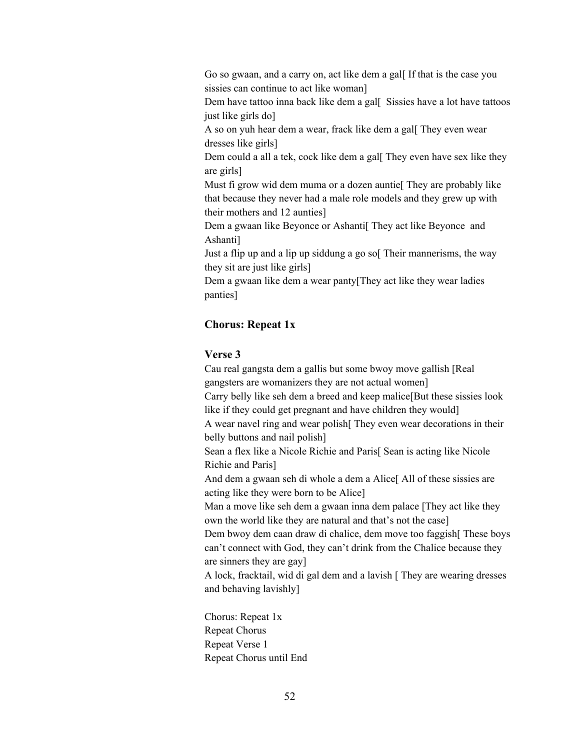Go so gwaan, and a carry on, act like dem a gall If that is the case you sissies can continue to act like woman]

Dem have tattoo inna back like dem a gall Sissies have a lot have tattoos just like girls do]

A so on yuh hear dem a wear, frack like dem a gal[ They even wear dresses like girls]

Dem could a all a tek, cock like dem a gal[ They even have sex like they are girls]

Must fi grow wid dem muma or a dozen auntie<sup>[</sup> They are probably like that because they never had a male role models and they grew up with their mothers and 12 aunties]

Dem a gwaan like Beyonce or Ashanti[ They act like Beyonce and Ashanti]

Just a flip up and a lip up siddung a go so[ Their mannerisms, the way they sit are just like girls]

Dem a gwaan like dem a wear panty[They act like they wear ladies panties]

## **Chorus: Repeat 1x**

## **Verse 3**

Cau real gangsta dem a gallis but some bwoy move gallish [Real gangsters are womanizers they are not actual women] Carry belly like seh dem a breed and keep malice[But these sissies look like if they could get pregnant and have children they would] A wear navel ring and wear polish[ They even wear decorations in their belly buttons and nail polish] Sean a flex like a Nicole Richie and Paris[ Sean is acting like Nicole Richie and Paris] And dem a gwaan seh di whole a dem a Alice<sup>[All of these sissies are</sup> acting like they were born to be Alice] Man a move like seh dem a gwaan inna dem palace [They act like they own the world like they are natural and that's not the case] Dem bwoy dem caan draw di chalice, dem move too faggish[ These boys can't connect with God, they can't drink from the Chalice because they are sinners they are gay] A lock, fracktail, wid di gal dem and a lavish [ They are wearing dresses

Chorus: Repeat 1x Repeat Chorus Repeat Verse 1 Repeat Chorus until End

and behaving lavishly]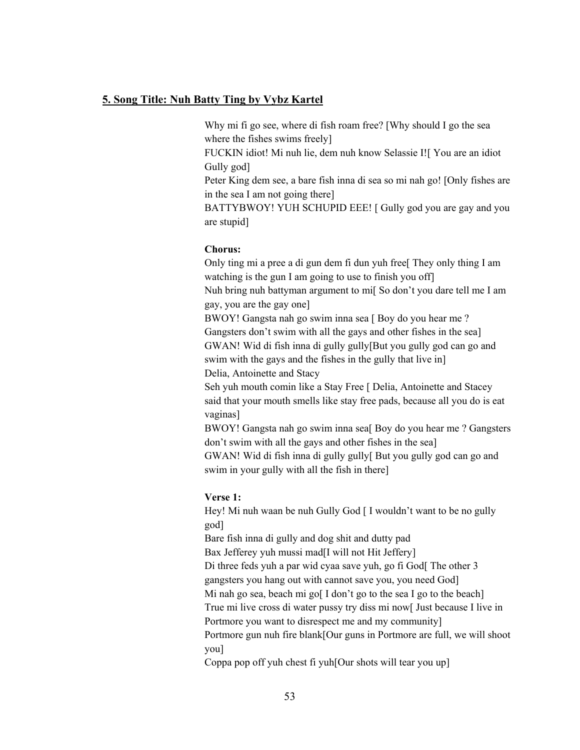#### **5. Song Title: Nuh Batty Ting by Vybz Kartel**

Why mi fi go see, where di fish roam free? [Why should I go the sea where the fishes swims freely]

FUCKIN idiot! Mi nuh lie, dem nuh know Selassie I![ You are an idiot Gully god]

Peter King dem see, a bare fish inna di sea so mi nah go! [Only fishes are in the sea I am not going there]

BATTYBWOY! YUH SCHUPID EEE! [ Gully god you are gay and you are stupid]

#### **Chorus:**

Only ting mi a pree a di gun dem fi dun yuh free[ They only thing I am watching is the gun I am going to use to finish you off

Nuh bring nuh battyman argument to mi[ So don't you dare tell me I am gay, you are the gay one]

BWOY! Gangsta nah go swim inna sea [ Boy do you hear me ? Gangsters don't swim with all the gays and other fishes in the sea] GWAN! Wid di fish inna di gully gully[But you gully god can go and swim with the gays and the fishes in the gully that live in]

Delia, Antoinette and Stacy

Seh yuh mouth comin like a Stay Free [ Delia, Antoinette and Stacey said that your mouth smells like stay free pads, because all you do is eat vaginas]

BWOY! Gangsta nah go swim inna sea<sup>[Boy do you hear me ? Gangsters</sup> don't swim with all the gays and other fishes in the sea]

GWAN! Wid di fish inna di gully gully[ But you gully god can go and swim in your gully with all the fish in there]

#### **Verse 1:**

Hey! Mi nuh waan be nuh Gully God [ I wouldn't want to be no gully god]

Bare fish inna di gully and dog shit and dutty pad

Bax Jefferey yuh mussi mad[I will not Hit Jeffery]

Di three feds yuh a par wid cyaa save yuh, go fi God[ The other 3

gangsters you hang out with cannot save you, you need God]

Mi nah go sea, beach mi go[ I don't go to the sea I go to the beach]

True mi live cross di water pussy try diss mi now[ Just because I live in Portmore you want to disrespect me and my community]

Portmore gun nuh fire blank[Our guns in Portmore are full, we will shoot you]

Coppa pop off yuh chest fi yuh[Our shots will tear you up]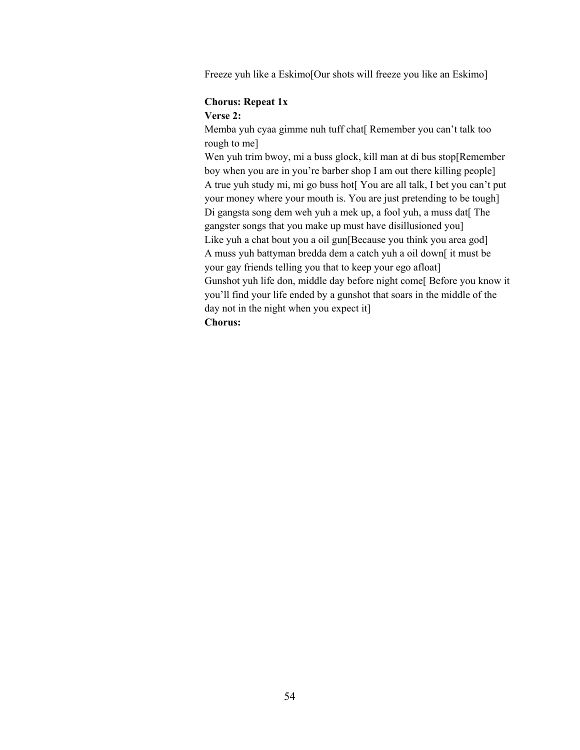Freeze yuh like a Eskimo[Our shots will freeze you like an Eskimo]

## **Chorus: Repeat 1x**

#### **Verse 2:**

Memba yuh cyaa gimme nuh tuff chat[ Remember you can't talk too rough to me]

Wen yuh trim bwoy, mi a buss glock, kill man at di bus stop[Remember] boy when you are in you're barber shop I am out there killing people] A true yuh study mi, mi go buss hot[ You are all talk, I bet you can't put your money where your mouth is. You are just pretending to be tough] Di gangsta song dem weh yuh a mek up, a fool yuh, a muss dat[ The gangster songs that you make up must have disillusioned you] Like yuh a chat bout you a oil gun[Because you think you area god] A muss yuh battyman bredda dem a catch yuh a oil down[ it must be your gay friends telling you that to keep your ego afloat] Gunshot yuh life don, middle day before night come[ Before you know it you'll find your life ended by a gunshot that soars in the middle of the day not in the night when you expect it]

## **Chorus:**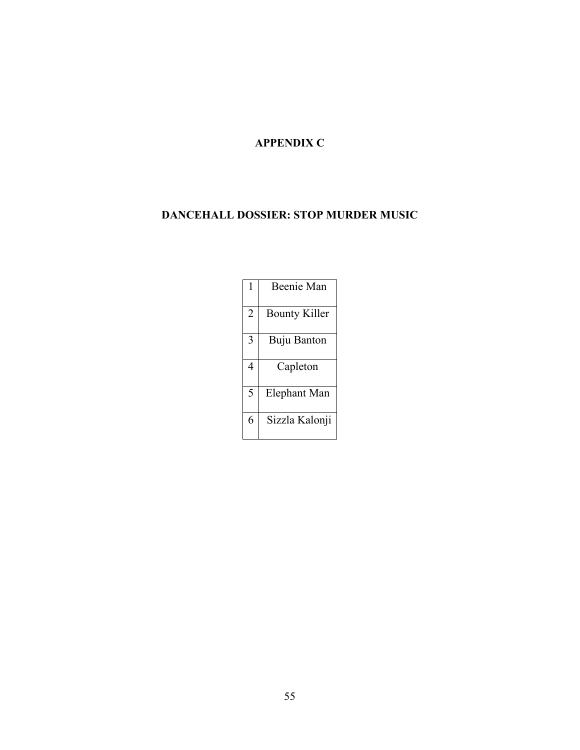## **APPENDIX C**

## **DANCEHALL DOSSIER: STOP MURDER MUSIC**

| 1              | Beenie Man           |
|----------------|----------------------|
| $\overline{2}$ | <b>Bounty Killer</b> |
| 3              | Buju Banton          |
| 4              | Capleton             |
| 5              | Elephant Man         |
| 6              | Sizzla Kalonji       |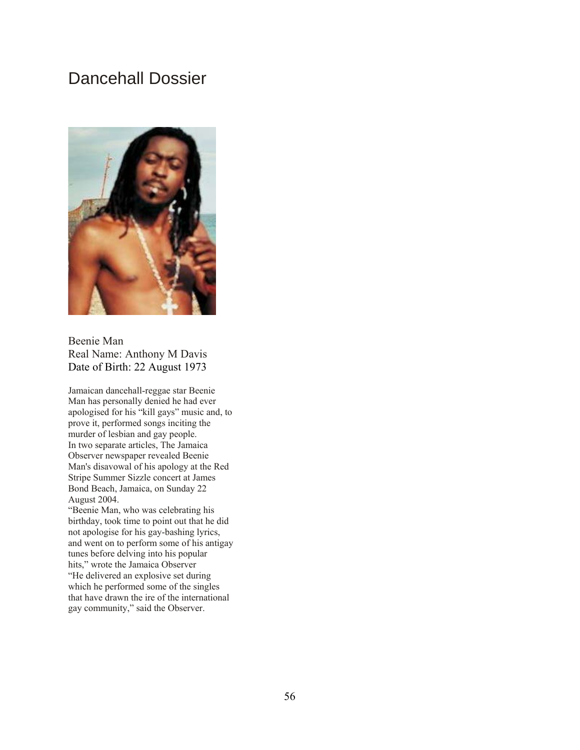# Dancehall Dossier



Beenie Man Real Name: Anthony M Davis Date of Birth: 22 August 1973

Jamaican dancehall-reggae star Beenie Man has personally denied he had ever apologised for his "kill gays" music and, to prove it, performed songs inciting the murder of lesbian and gay people. In two separate articles, The Jamaica Observer newspaper revealed Beenie Man's disavowal of his apology at the Red Stripe Summer Sizzle concert at James Bond Beach, Jamaica, on Sunday 22 August 2004.

"Beenie Man, who was celebrating his birthday, took time to point out that he did not apologise for his gay-bashing lyrics, and went on to perform some of his antigay tunes before delving into his popular hits," wrote the Jamaica Observer "He delivered an explosive set during which he performed some of the singles that have drawn the ire of the international gay community," said the Observer.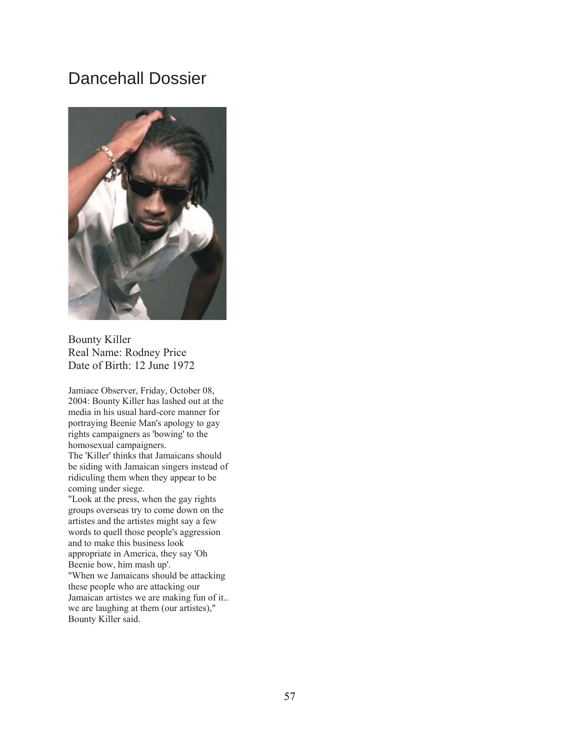## Dancehall Dossier



Bounty Killer Real Name: Rodney Price Date of Birth: 12 June 1972

Jamiace Observer, Friday, October 08, 2004: Bounty Killer has lashed out at the media in his usual hard-core manner for portraying Beenie Man's apology to gay rights campaigners as 'bowing' to the homosexual campaigners.

The 'Killer' thinks that Jamaicans should be siding with Jamaican singers instead of ridiculing them when they appear to be coming under siege.

"Look at the press, when the gay rights groups overseas try to come down on the artistes and the artistes might say a few words to quell those people's aggression and to make this business look appropriate in America, they say 'Oh Beenie bow, him mash up'.

"When we Jamaicans should be attacking these people who are attacking our Jamaican artistes we are making fun of it.. we are laughing at them (our artistes)," Bounty Killer said.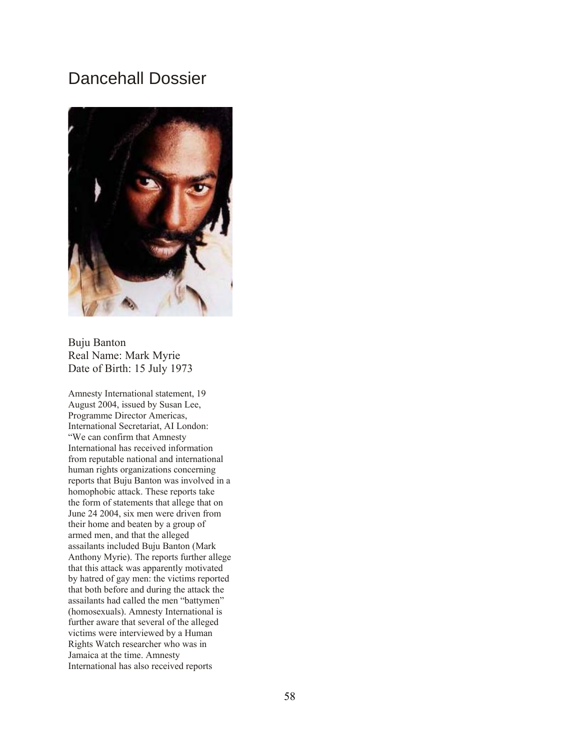## Dancehall Dossier



Buju Banton Real Name: Mark Myrie Date of Birth: 15 July 1973

Amnesty International statement, 19 August 2004, issued by Susan Lee, Programme Director Americas, International Secretariat, AI London: "We can confirm that Amnesty International has received information from reputable national and international human rights organizations concerning reports that Buju Banton was involved in a homophobic attack. These reports take the form of statements that allege that on June 24 2004, six men were driven from their home and beaten by a group of armed men, and that the alleged assailants included Buju Banton (Mark Anthony Myrie). The reports further allege that this attack was apparently motivated by hatred of gay men: the victims reported that both before and during the attack the assailants had called the men "battymen" (homosexuals). Amnesty International is further aware that several of the alleged victims were interviewed by a Human Rights Watch researcher who was in Jamaica at the time. Amnesty International has also received reports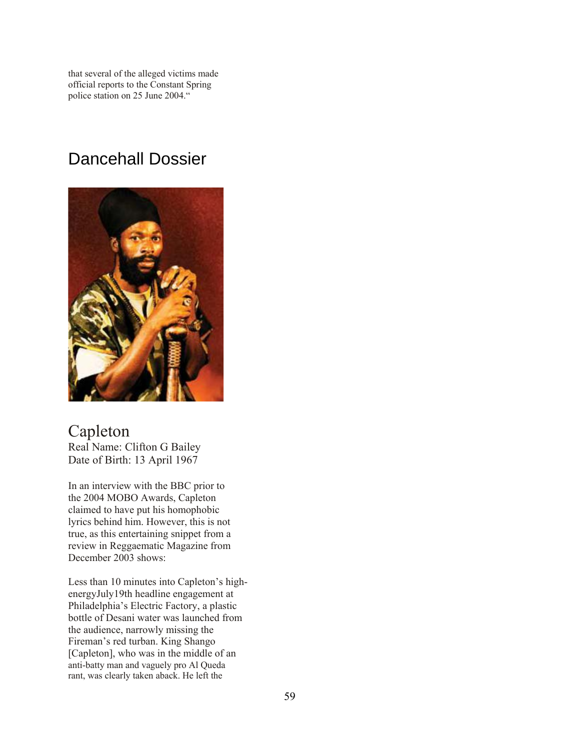that several of the alleged victims made official reports to the Constant Spring police station on 25 June 2004."

# Dancehall Dossier



Capleton Real Name: Clifton G Bailey Date of Birth: 13 April 1967

In an interview with the BBC prior to the 2004 MOBO Awards, Capleton claimed to have put his homophobic lyrics behind him. However, this is not true, as this entertaining snippet from a review in Reggaematic Magazine from December 2003 shows:

Less than 10 minutes into Capleton's highenergyJuly19th headline engagement at Philadelphia's Electric Factory, a plastic bottle of Desani water was launched from the audience, narrowly missing the Fireman's red turban. King Shango [Capleton], who was in the middle of an anti-batty man and vaguely pro Al Queda rant, was clearly taken aback. He left the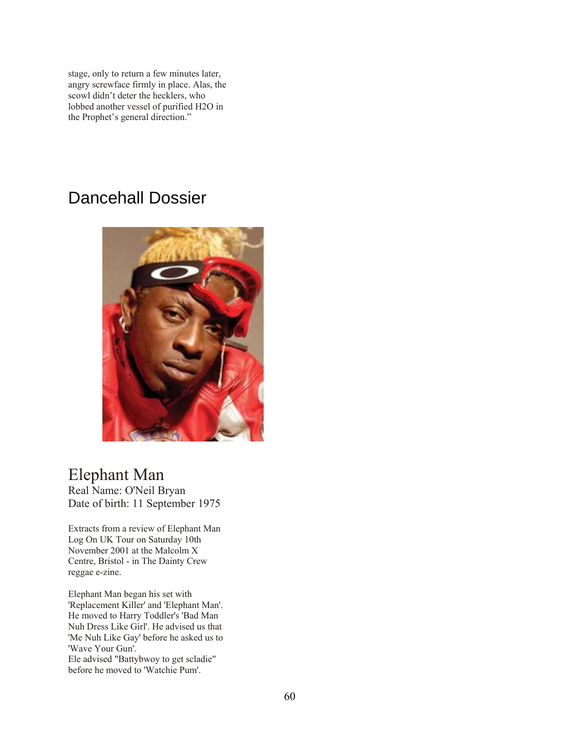stage, only to return a few minutes later, angry screwface firmly in place. Alas, the scowl didn't deter the hecklers, who lobbed another vessel of purified H2O in the Prophet's general direction."

# Dancehall Dossier



# Elephant Man

Real Name: O'Neil Bryan Date of birth: 11 September 1975

Extracts from a review of Elephant Man Log On UK Tour on Saturday 10th November 2001 at the Malcolm X Centre, Bristol - in The Dainty Crew reggae e-zine.

Elephant Man began his set with 'Replacement Killer' and 'Elephant Man'. He moved to Harry Toddler's 'Bad Man Nuh Dress Like Girl'. He advised us that 'Me Nuh Like Gay' before he asked us to 'Wave Your Gun'. Ele advised "Battybwoy to get scladie" before he moved to 'Watchie Pum'.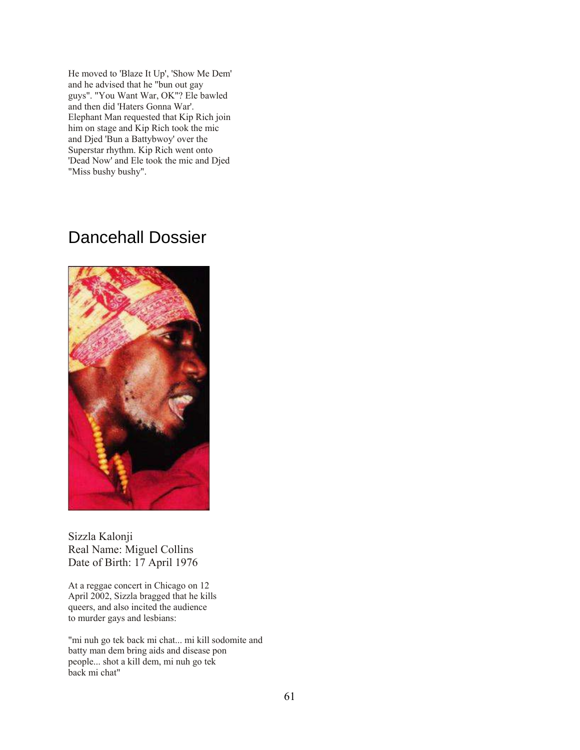He moved to 'Blaze It Up', 'Show Me Dem' and he advised that he "bun out gay guys". "You Want War, OK"? Ele bawled and then did 'Haters Gonna War'. Elephant Man requested that Kip Rich join him on stage and Kip Rich took the mic and Djed 'Bun a Battybwoy' over the Superstar rhythm. Kip Rich went onto 'Dead Now' and Ele took the mic and Djed "Miss bushy bushy".

# Dancehall Dossier



Sizzla Kalonji Real Name: Miguel Collins Date of Birth: 17 April 1976

At a reggae concert in Chicago on 12 April 2002, Sizzla bragged that he kills queers, and also incited the audience to murder gays and lesbians:

"mi nuh go tek back mi chat... mi kill sodomite and batty man dem bring aids and disease pon people... shot a kill dem, mi nuh go tek back mi chat"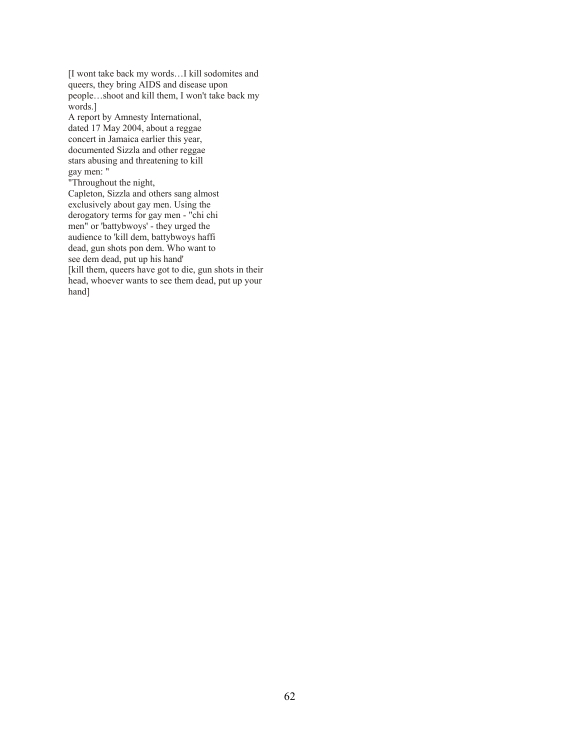[I wont take back my words…I kill sodomites and queers, they bring AIDS and disease upon people…shoot and kill them, I won't take back my words.]

A report by Amnesty International, dated 17 May 2004, about a reggae concert in Jamaica earlier this year, documented Sizzla and other reggae stars abusing and threatening to kill gay men: "

"Throughout the night, Capleton, Sizzla and others sang almost exclusively about gay men. Using the derogatory terms for gay men - "chi chi men" or 'battybwoys' - they urged the audience to 'kill dem, battybwoys haffi dead, gun shots pon dem. Who want to see dem dead, put up his hand' [kill them, queers have got to die, gun shots in their

head, whoever wants to see them dead, put up your hand]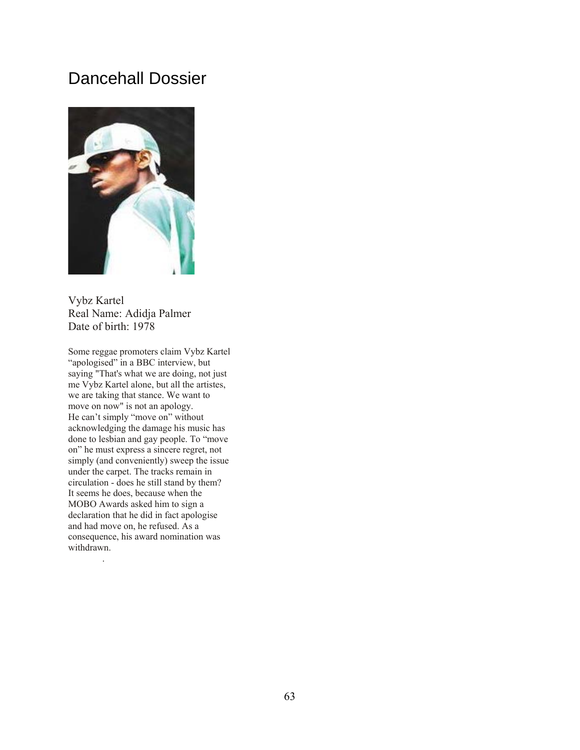## Dancehall Dossier



Vybz Kartel Real Name: Adidja Palmer Date of birth: 1978

Some reggae promoters claim Vybz Kartel "apologised" in a BBC interview, but saying "That's what we are doing, not just me Vybz Kartel alone, but all the artistes, we are taking that stance. We want to move on now" is not an apology. He can't simply "move on" without acknowledging the damage his music has done to lesbian and gay people. To "move on" he must express a sincere regret, not simply (and conveniently) sweep the issue under the carpet. The tracks remain in circulation - does he still stand by them? It seems he does, because when the MOBO Awards asked him to sign a declaration that he did in fact apologise and had move on, he refused. As a consequence, his award nomination was withdrawn.

.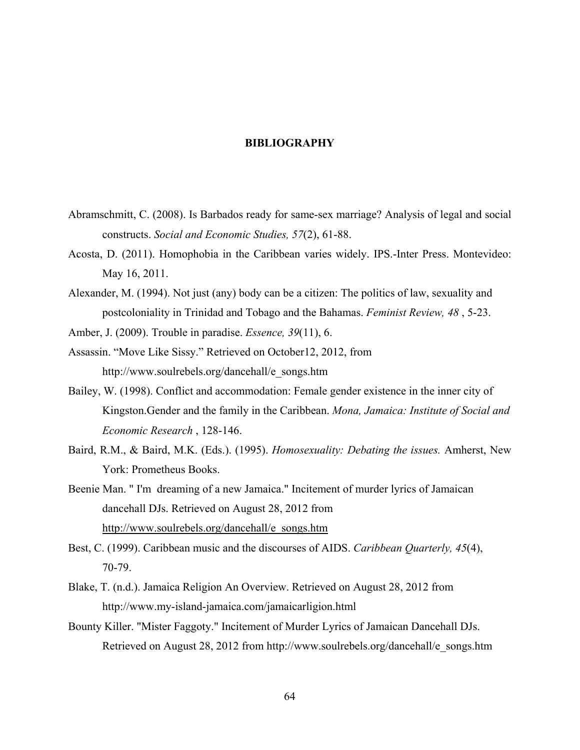## **BIBLIOGRAPHY**

- Abramschmitt, C. (2008). Is Barbados ready for same-sex marriage? Analysis of legal and social constructs. *Social and Economic Studies, 57*(2), 61-88.
- Acosta, D. (2011). Homophobia in the Caribbean varies widely. IPS.-Inter Press. Montevideo: May 16, 2011.
- Alexander, M. (1994). Not just (any) body can be a citizen: The politics of law, sexuality and postcoloniality in Trinidad and Tobago and the Bahamas. *Feminist Review, 48* , 5-23.
- Amber, J. (2009). Trouble in paradise. *Essence, 39*(11), 6.
- Assassin. "Move Like Sissy." Retrieved on October12, 2012, from http://www.soulrebels.org/dancehall/e\_songs.htm
- Bailey, W. (1998). Conflict and accommodation: Female gender existence in the inner city of Kingston.Gender and the family in the Caribbean. *Mona, Jamaica: Institute of Social and Economic Research* , 128-146.
- Baird, R.M., & Baird, M.K. (Eds.). (1995). *Homosexuality: Debating the issues.* Amherst, New York: Prometheus Books.
- Beenie Man. " I'm dreaming of a new Jamaica." Incitement of murder lyrics of Jamaican dancehall DJs. Retrieved on August 28, 2012 from [http://www.soulrebels.org/dancehall/e\\_songs.htm](http://www.soulrebels.org/dancehall/e_songs.htm)
- Best, C. (1999). Caribbean music and the discourses of AIDS. *Caribbean Quarterly, 45*(4), 70-79.
- Blake, T. (n.d.). Jamaica Religion An Overview. Retrieved on August 28, 2012 from http://www.my-island-jamaica.com/jamaicarligion.html
- Bounty Killer. "Mister Faggoty." Incitement of Murder Lyrics of Jamaican Dancehall DJs. Retrieved on August 28, 2012 from http://www.soulrebels.org/dancehall/e\_songs.htm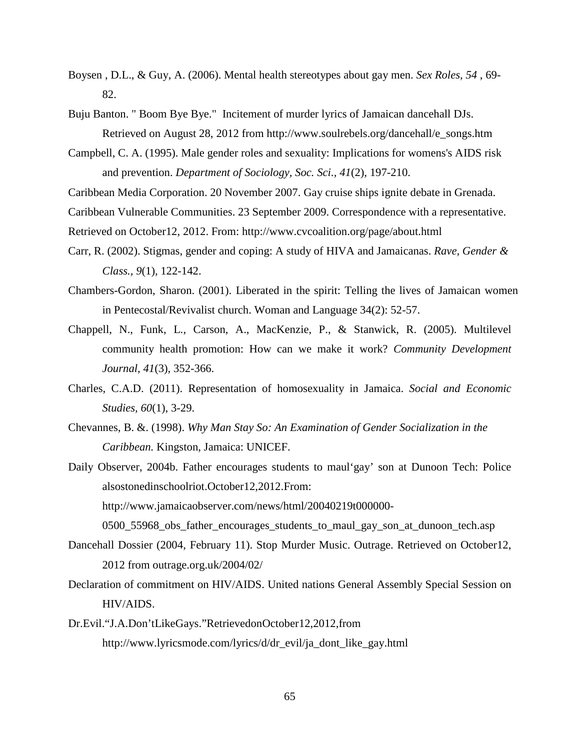- Boysen , D.L., & Guy, A. (2006). Mental health stereotypes about gay men. *Sex Roles, 54* , 69- 82.
- Buju Banton. " Boom Bye Bye." Incitement of murder lyrics of Jamaican dancehall DJs. Retrieved on August 28, 2012 from http://www.soulrebels.org/dancehall/e\_songs.htm
- Campbell, C. A. (1995). Male gender roles and sexuality: Implications for womens's AIDS risk and prevention. *Department of Sociology, Soc. Sci., 41*(2), 197-210.
- Caribbean Media Corporation. 20 November 2007. Gay cruise ships ignite debate in Grenada.
- Caribbean Vulnerable Communities. 23 September 2009. Correspondence with a representative.
- Retrieved on October12, 2012. From: http://www.cvcoalition.org/page/about.html
- Carr, R. (2002). Stigmas, gender and coping: A study of HIVA and Jamaicanas. *Rave, Gender & Class., 9*(1), 122-142.
- Chambers-Gordon, Sharon. (2001). Liberated in the spirit: Telling the lives of Jamaican women in Pentecostal/Revivalist church. Woman and Language 34(2): 52-57.
- Chappell, N., Funk, L., Carson, A., MacKenzie, P., & Stanwick, R. (2005). Multilevel community health promotion: How can we make it work? *Community Development Journal, 41*(3), 352-366.
- Charles, C.A.D. (2011). Representation of homosexuality in Jamaica. *Social and Economic Studies, 60*(1), 3-29.
- Chevannes, B. &. (1998). *Why Man Stay So: An Examination of Gender Socialization in the Caribbean.* Kingston, Jamaica: UNICEF.
- Daily Observer, 2004b. Father encourages students to maul'gay' son at Dunoon Tech: Police alsostonedinschoolriot.October12,2012.From: http://www.jamaicaobserver.com/news/html/20040219t000000-

[0500\\_55968\\_obs\\_father\\_encourages\\_students\\_to\\_maul\\_gay\\_son\\_at\\_dunoon\\_tech.asp](http://www.jamaicaobserver.com/news/html/20040219t000000-) 

- Dancehall Dossier (2004, February 11). Stop Murder Music. Outrage. Retrieved on October12, 2012 from outrage.org.uk/2004/02/
- Declaration of commitment on HIV/AIDS. United nations General Assembly Special Session on HIV/AIDS.
- Dr.Evil."J.A.Don'tLikeGays."RetrievedonOctober12,2012,from http://www.lyricsmode.com/lyrics/d/dr\_evil/ja\_dont\_like\_gay.html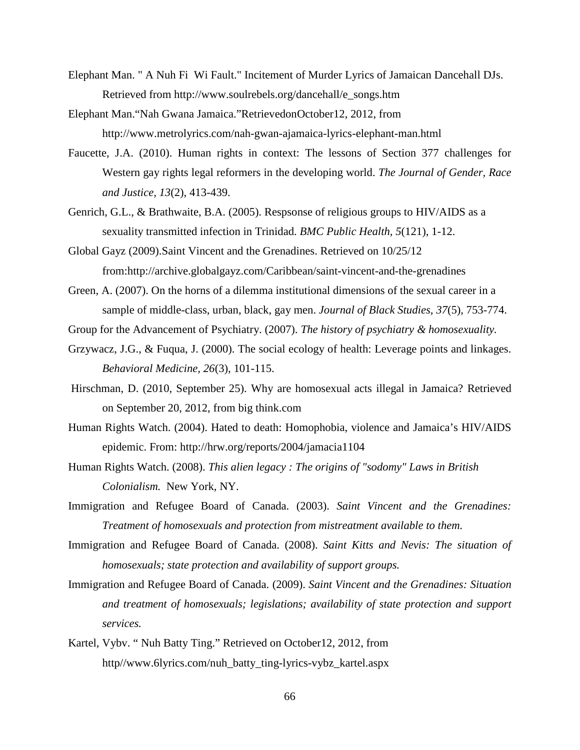- Elephant Man. " A Nuh Fi Wi Fault." Incitement of Murder Lyrics of Jamaican Dancehall DJs. Retrieved from http://www.soulrebels.org/dancehall/e\_songs.htm
- Elephant Man."Nah Gwana Jamaica."RetrievedonOctober12, 2012, from http://www.metrolyrics.com/nah-gwan-ajamaica-lyrics-elephant-man.html
- Faucette, J.A. (2010). Human rights in context: The lessons of Section 377 challenges for Western gay rights legal reformers in the developing world. *The Journal of Gender, Race and Justice, 13*(2), 413-439.
- Genrich, G.L., & Brathwaite, B.A. (2005). Respsonse of religious groups to HIV/AIDS as a sexuality transmitted infection in Trinidad. *BMC Public Health, 5*(121), 1-12.
- Global Gayz (2009).Saint Vincent and the Grenadines. Retrieved on 10/25/12 from:http://archive.globalgayz.com/Caribbean/saint-vincent-and-the-grenadines
- Green, A. (2007). On the horns of a dilemma institutional dimensions of the sexual career in a sample of middle-class, urban, black, gay men. *Journal of Black Studies, 37*(5), 753-774.
- Group for the Advancement of Psychiatry. (2007). *The history of psychiatry & homosexuality.*
- Grzywacz, J.G., & Fuqua, J. (2000). The social ecology of health: Leverage points and linkages. *Behavioral Medicine, 26*(3), 101-115.
- Hirschman, D. (2010, September 25). Why are homosexual acts illegal in Jamaica? Retrieved on September 20, 2012, from big think.com
- Human Rights Watch. (2004). Hated to death: Homophobia, violence and Jamaica's HIV/AIDS epidemic. From: http://hrw.org/reports/2004/jamacia1104
- Human Rights Watch. (2008). *This alien legacy : The origins of "sodomy" Laws in British Colonialism.* New York, NY.
- Immigration and Refugee Board of Canada. (2003). *Saint Vincent and the Grenadines: Treatment of homosexuals and protection from mistreatment available to them.*
- Immigration and Refugee Board of Canada. (2008). *Saint Kitts and Nevis: The situation of homosexuals; state protection and availability of support groups.*
- Immigration and Refugee Board of Canada. (2009). *Saint Vincent and the Grenadines: Situation and treatment of homosexuals; legislations; availability of state protection and support services.*
- Kartel, Vybv. " Nuh Batty Ting." Retrieved on October12, 2012, from http//www.6lyrics.com/nuh\_batty\_ting-lyrics-vybz\_kartel.aspx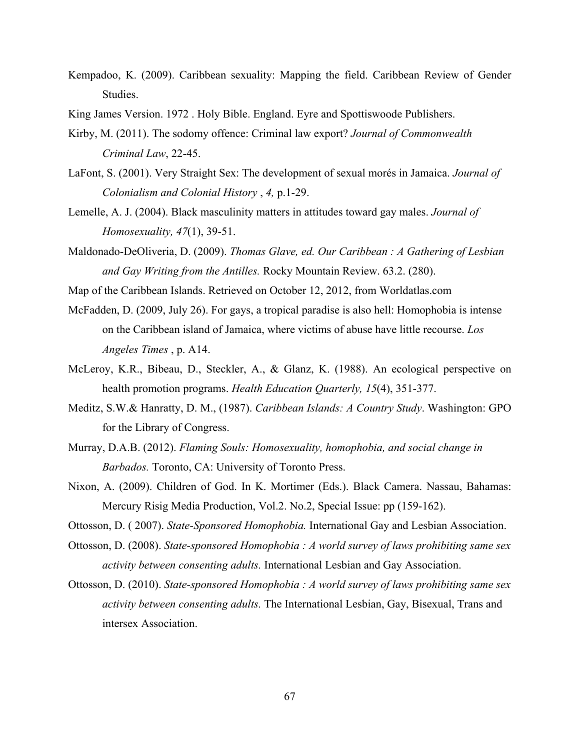- Kempadoo, K. (2009). Caribbean sexuality: Mapping the field. Caribbean Review of Gender Studies.
- King James Version. 1972 . Holy Bible. England. Eyre and Spottiswoode Publishers.
- Kirby, M. (2011). The sodomy offence: Criminal law export? *Journal of Commonwealth Criminal Law*, 22-45.
- LaFont, S. (2001). Very Straight Sex: The development of sexual morés in Jamaica. *Journal of Colonialism and Colonial History* , *4,* p.1-29.
- Lemelle, A. J. (2004). Black masculinity matters in attitudes toward gay males. *Journal of Homosexuality, 47*(1), 39-51.
- Maldonado-DeOliveria, D. (2009). *Thomas Glave, ed. Our Caribbean : A Gathering of Lesbian and Gay Writing from the Antilles.* Rocky Mountain Review. 63.2. (280).
- Map of the Caribbean Islands. Retrieved on October 12, 2012, from Worldatlas.com
- McFadden, D. (2009, July 26). For gays, a tropical paradise is also hell: Homophobia is intense on the Caribbean island of Jamaica, where victims of abuse have little recourse. *Los Angeles Times* , p. A14.
- McLeroy, K.R., Bibeau, D., Steckler, A., & Glanz, K. (1988). An ecological perspective on health promotion programs. *Health Education Quarterly, 15*(4), 351-377.
- Meditz, S.W.& Hanratty, D. M., (1987). *Caribbean Islands: A Country Study*. Washington: GPO for the Library of Congress.
- Murray, D.A.B. (2012). *Flaming Souls: Homosexuality, homophobia, and social change in Barbados.* Toronto, CA: University of Toronto Press.
- Nixon, A. (2009). Children of God. In K. Mortimer (Eds.). Black Camera. Nassau, Bahamas: Mercury Risig Media Production, Vol.2. No.2, Special Issue: pp (159-162).
- Ottosson, D. ( 2007). *State-Sponsored Homophobia.* International Gay and Lesbian Association.
- Ottosson, D. (2008). *State-sponsored Homophobia : A world survey of laws prohibiting same sex activity between consenting adults.* International Lesbian and Gay Association.
- Ottosson, D. (2010). *State-sponsored Homophobia : A world survey of laws prohibiting same sex activity between consenting adults.* The International Lesbian, Gay, Bisexual, Trans and intersex Association.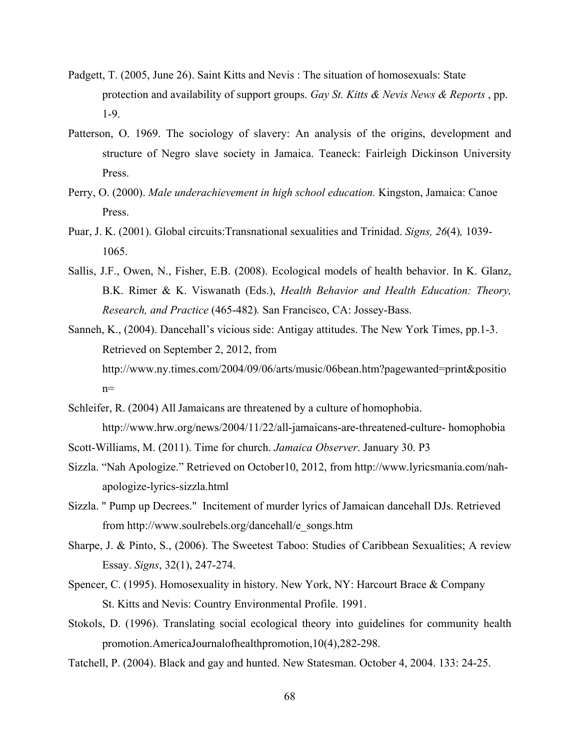- Padgett, T. (2005, June 26). Saint Kitts and Nevis : The situation of homosexuals: State protection and availability of support groups. *Gay St. Kitts & Nevis News & Reports* , pp. 1-9.
- Patterson, O. 1969. The sociology of slavery: An analysis of the origins, development and structure of Negro slave society in Jamaica. Teaneck: Fairleigh Dickinson University Press.
- Perry, O. (2000). *Male underachievement in high school education.* Kingston, Jamaica: Canoe Press.
- Puar, J. K. (2001). Global circuits:Transnational sexualities and Trinidad. *Signs, 26*(4)*,* 1039- 1065.
- Sallis, J.F., Owen, N., Fisher, E.B. (2008). Ecological models of health behavior. In K. Glanz, B.K. Rimer & K. Viswanath (Eds.), *Health Behavior and Health Education: Theory, Research, and Practice* (465-482)*.* San Francisco, CA: Jossey-Bass.
- Sanneh, K., (2004). Dancehall's vicious side: Antigay attitudes. The New York Times, pp.1-3. Retrieved on September 2, 2012, from http://www.ny.times.com/2004/09/06/arts/music/06bean.htm?pagewanted=print&positio  $n=$
- Schleifer, R. (2004) All Jamaicans are threatened by a culture of homophobia. http://www.hrw.org/news/2004/11/22/all-jamaicans-are-threatened-culture- homophobia
- Scott-Williams, M. (2011). Time for church. *Jamaica Observer*. January 30. P3
- Sizzla. "Nah Apologize." Retrieved on October10, 2012, from http://www.lyricsmania.com/nahapologize-lyrics-sizzla.html
- Sizzla. " Pump up Decrees." Incitement of murder lyrics of Jamaican dancehall DJs. Retrieved from http://www.soulrebels.org/dancehall/e\_songs.htm
- Sharpe, J. & Pinto, S., (2006). The Sweetest Taboo: Studies of Caribbean Sexualities; A review Essay. *Signs*, 32(1), 247-274.
- Spencer, C. (1995). Homosexuality in history. New York, NY: Harcourt Brace & Company St. Kitts and Nevis: Country Environmental Profile. 1991.
- Stokols, D. (1996). Translating social ecological theory into guidelines for community health promotion.AmericaJournalofhealthpromotion,10(4),282-298.
- Tatchell, P. (2004). Black and gay and hunted. New Statesman. October 4, 2004. 133: 24-25.